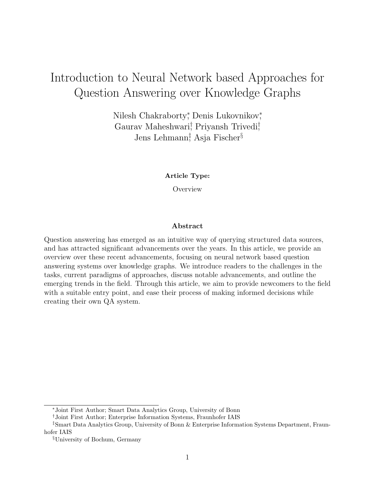# Introduction to Neural Network based Approaches for Question Answering over Knowledge Graphs

Nilesh Chakraborty<sup>\*</sup>, Denis Lukovnikov<sup>\*</sup>, Gaurav Maheshwari<sup>†</sup> Priyansh Trivedi<sup>†</sup> Jens Lehmann‡ , Asja Fischer§

Article Type:

**Overview** 

#### Abstract

Question answering has emerged as an intuitive way of querying structured data sources, and has attracted significant advancements over the years. In this article, we provide an overview over these recent advancements, focusing on neural network based question answering systems over knowledge graphs. We introduce readers to the challenges in the tasks, current paradigms of approaches, discuss notable advancements, and outline the emerging trends in the field. Through this article, we aim to provide newcomers to the field with a suitable entry point, and ease their process of making informed decisions while creating their own QA system.

<sup>∗</sup>Joint First Author; Smart Data Analytics Group, University of Bonn

<sup>†</sup>Joint First Author; Enterprise Information Systems, Fraunhofer IAIS

<sup>‡</sup>Smart Data Analytics Group, University of Bonn & Enterprise Information Systems Department, Fraunhofer IAIS

<sup>§</sup>University of Bochum, Germany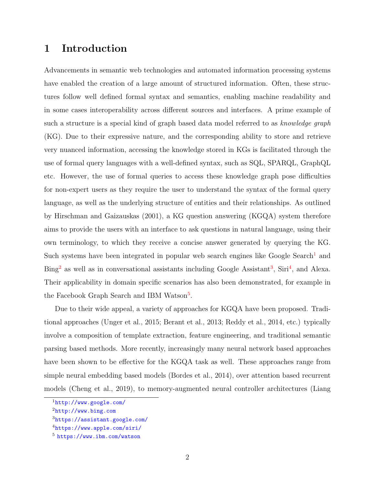# 1 Introduction

Advancements in semantic web technologies and automated information processing systems have enabled the creation of a large amount of structured information. Often, these structures follow well defined formal syntax and semantics, enabling machine readability and in some cases interoperability across different sources and interfaces. A prime example of such a structure is a special kind of graph based data model referred to as knowledge graph (KG). Due to their expressive nature, and the corresponding ability to store and retrieve very nuanced information, accessing the knowledge stored in KGs is facilitated through the use of formal query languages with a well-defined syntax, such as SQL, SPARQL, GraphQL etc. However, the use of formal queries to access these knowledge graph pose difficulties for non-expert users as they require the user to understand the syntax of the formal query language, as well as the underlying structure of entities and their relationships. As outlined by [Hirschman and Gaizauskas](#page-39-0) [\(2001\)](#page-39-0), a KG question answering (KGQA) system therefore aims to provide the users with an interface to ask questions in natural language, using their own terminology, to which they receive a concise answer generated by querying the KG. Such systems have been integrated in popular web search engines like Google Search<sup>[1](#page-1-0)</sup> and Bing<sup>[2](#page-1-1)</sup> as well as in conversational assistants including Google Assistant<sup>[3](#page-1-2)</sup>, Siri<sup>[4](#page-1-3)</sup>, and Alexa. Their applicability in domain specific scenarios has also been demonstrated, for example in the Facebook Graph Search and IBM Watson<sup>[5](#page-1-4)</sup>.

Due to their wide appeal, a variety of approaches for KGQA have been proposed. Traditional approaches [\(Unger et al.,](#page-45-0) [2015;](#page-45-0) [Berant et al.,](#page-36-0) [2013;](#page-36-0) [Reddy et al.,](#page-43-0) [2014,](#page-43-0) etc.) typically involve a composition of template extraction, feature engineering, and traditional semantic parsing based methods. More recently, increasingly many neural network based approaches have been shown to be effective for the KGQA task as well. These approaches range from simple neural embedding based models [\(Bordes et al.,](#page-36-1) [2014\)](#page-36-1), over attention based recurrent models [\(Cheng et al.,](#page-36-2) [2019\)](#page-36-2), to memory-augmented neural controller architectures [\(Liang](#page-41-0)

<span id="page-1-1"></span><span id="page-1-0"></span><sup>1</sup>[http://www.google.com/](#page-41-0)

<span id="page-1-2"></span><sup>2</sup>[http://www.bing.com](#page-41-0)

<span id="page-1-3"></span><sup>3</sup>[https://assistant.google.com/](#page-41-0)

<span id="page-1-4"></span><sup>4</sup>[https://www.apple.com/siri/](#page-41-0)

<sup>5</sup> [https://www.ibm.com/watson](#page-41-0)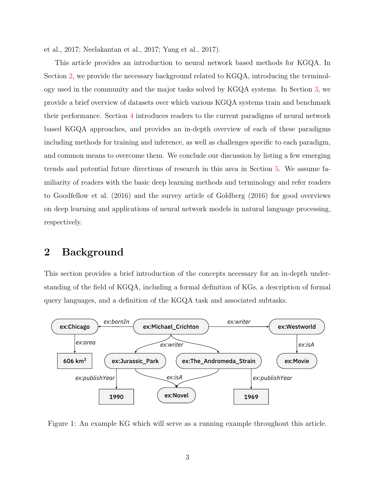[et al.,](#page-41-0) [2017;](#page-41-0) [Neelakantan et al.,](#page-42-0) [2017;](#page-42-0) [Yang et al.,](#page-45-1) [2017\)](#page-45-1).

This article provides an introduction to neural network based methods for KGQA. In Section [2,](#page-2-0) we provide the necessary background related to KGQA, introducing the terminology used in the community and the major tasks solved by KGQA systems. In Section [3,](#page-8-0) we provide a brief overview of datasets over which various KGQA systems train and benchmark their performance. Section [4](#page-10-0) introduces readers to the current paradigms of neural network based KGQA approaches, and provides an in-depth overview of each of these paradigms including methods for training and inference, as well as challenges specific to each paradigm, and common means to overcome them. We conclude our discussion by listing a few emerging trends and potential future directions of research in this area in Section [5.](#page-31-0) We assume familiarity of readers with the basic deep learning methods and terminology and refer readers to [Goodfellow et al.](#page-38-0) [\(2016\)](#page-38-0) and the survey article of [Goldberg](#page-38-1) [\(2016\)](#page-38-1) for good overviews on deep learning and applications of neural network models in natural language processing, respectively.

# <span id="page-2-0"></span>2 Background

This section provides a brief introduction of the concepts necessary for an in-depth understanding of the field of KGQA, including a formal definition of KGs, a description of formal query languages, and a definition of the KGQA task and associated subtasks.

<span id="page-2-1"></span>

Figure 1: An example KG which will serve as a running example throughout this article.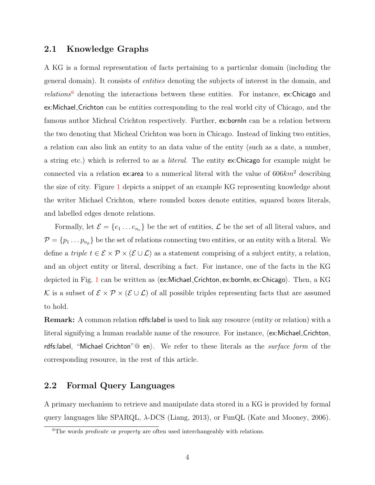### 2.1 Knowledge Graphs

A KG is a formal representation of facts pertaining to a particular domain (including the general domain). It consists of entities denoting the subjects of interest in the domain, and  $relations<sup>6</sup>$  $relations<sup>6</sup>$  $relations<sup>6</sup>$  denoting the interactions between these entities. For instance, ex:Chicago and ex:Michael Crichton can be entities corresponding to the real world city of Chicago, and the famous author Micheal Crichton respectively. Further, ex:bornIn can be a relation between the two denoting that Micheal Crichton was born in Chicago. Instead of linking two entities, a relation can also link an entity to an data value of the entity (such as a date, a number, a string etc.) which is referred to as a literal. The entity ex:Chicago for example might be connected via a relation ex:area to a numerical literal with the value of  $606km^2$  describing the size of city. Figure [1](#page-2-1) depicts a snippet of an example KG representing knowledge about the writer Michael Crichton, where rounded boxes denote entities, squared boxes literals, and labelled edges denote relations.

Formally, let  $\mathcal{E} = \{e_1 \dots e_{n_e}\}\$ be the set of entities,  $\mathcal{L}$  be the set of all literal values, and  $\mathcal{P} = \{p_1 \dots p_{n_p}\}\$ be the set of relations connecting two entities, or an entity with a literal. We define a triple  $t \in \mathcal{E} \times \mathcal{P} \times (\mathcal{E} \cup \mathcal{L})$  as a statement comprising of a subject entity, a relation, and an object entity or literal, describing a fact. For instance, one of the facts in the KG depicted in Fig. [1](#page-2-1) can be written as  $\langle$ ex:Michael Crichton, ex:bornIn, ex:Chicago). Then, a KG K is a subset of  $\mathcal{E} \times \mathcal{P} \times (\mathcal{E} \cup \mathcal{L})$  of all possible triples representing facts that are assumed to hold.

Remark: A common relation rdfs:label is used to link any resource (entity or relation) with a literal signifying a human readable name of the resource. For instance,  $\langle$ ex:Michael\_Crichton, rdfs:label, "Michael Crichton" $@$  en). We refer to these literals as the *surface form* of the corresponding resource, in the rest of this article.

### <span id="page-3-1"></span>2.2 Formal Query Languages

A primary mechanism to retrieve and manipulate data stored in a KG is provided by formal query languages like SPARQL, λ-DCS [\(Liang,](#page-41-1) [2013\)](#page-41-1), or FunQL [\(Kate and Mooney,](#page-40-0) [2006\)](#page-40-0).

<span id="page-3-0"></span> ${}^{6}$ The words *predicate* or *property* are often used interchangeably with relations.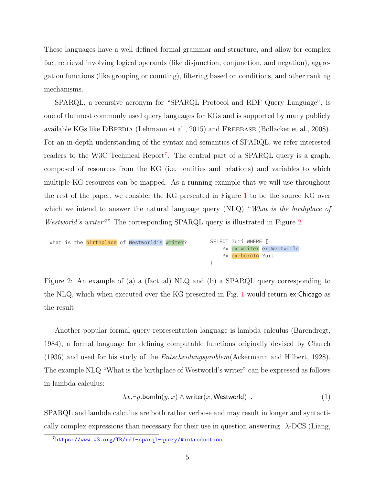These languages have a well defined formal grammar and structure, and allow for complex fact retrieval involving logical operands (like disjunction, conjunction, and negation), aggregation functions (like grouping or counting), filtering based on conditions, and other ranking mechanisms.

SPARQL, a recursive acronym for "SPARQL Protocol and RDF Query Language", is one of the most commonly used query languages for KGs and is supported by many publicly available KGs like DBPEDIA [\(Lehmann et al.,](#page-40-1) [2015\)](#page-40-1) and FREEBASE [\(Bollacker et al.,](#page-36-3) [2008\)](#page-36-3). For an in-depth understanding of the syntax and semantics of SPARQL, we refer interested readers to the W3C Technical Report<sup>[7](#page-4-0)</sup>. The central part of a SPARQL query is a graph, composed of resources from the KG (i.e. entities and relations) and variables to which multiple KG resources can be mapped. As a running example that we will use throughout the rest of the paper, we consider the KG presented in Figure [1](#page-2-1) to be the source KG over which we intend to answer the natural language query (NLQ) "What is the birthplace of Westworld's writer?" The corresponding SPARQL query is illustrated in Figure [2.](#page-4-1)

<span id="page-4-1"></span>

|  |  | What is the birthplace of Westworld's writer? |  | SELECT ?uri WHERE $\{$ |                              |
|--|--|-----------------------------------------------|--|------------------------|------------------------------|
|  |  |                                               |  |                        | ?x ex: writer ex: Westworld. |
|  |  |                                               |  | ?x ex:bornIn ?uri      |                              |
|  |  |                                               |  |                        |                              |

 $\Delta$  CDAR $\Omega$  such that  $\Gamma$ a of  $A_1 \cup A_2$  query corresponding Figure 2: An example of (a) a (factual) NLQ and (b) a SPARQL query corresponding to the NLQ, which when executed over the KG presented in Fig. [1](#page-2-1) would return ex:Chicago as the result.

Another popular formal query representation language is lambda calculus [\(Barendregt,](#page-35-0) [1984\)](#page-35-0), a formal language for defining computable functions originally devised by [Church](#page-37-0) [\(1936\)](#page-37-0) and used for his study of the Entscheidungsproblem[\(Ackermann and Hilbert,](#page-35-1) [1928\)](#page-35-1). The example NLQ "What is the birthplace of Westworld's writer" can be expressed as follows in lambda calculus:

$$
\lambda x. \exists y. \text{bornIn}(y, x) \land \text{writer}(x, \text{Westworld}) \tag{1}
$$

SPARQL and lambda calculus are both rather verbose and may result in longer and syntactically complex expressions than necessary for their use in question answering.  $\lambda$ -DCS [\(Liang,](#page-41-1)

<span id="page-4-0"></span><sup>7</sup><https://www.w3.org/TR/rdf-sparql-query/#introduction>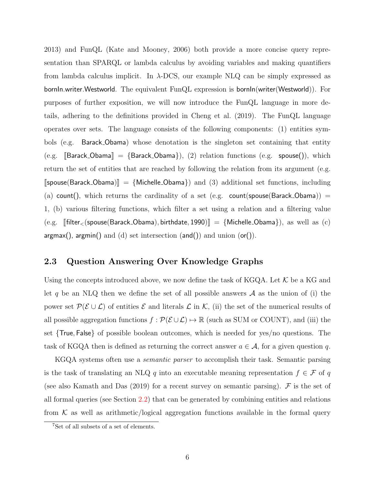[2013\)](#page-41-1) and FunQL [\(Kate and Mooney,](#page-40-0) [2006\)](#page-40-0) both provide a more concise query representation than SPARQL or lambda calculus by avoiding variables and making quantifiers from lambda calculus implicit. In  $\lambda$ -DCS, our example NLQ can be simply expressed as bornIn.writer.Westworld. The equivalent FunQL expression is bornIn(writer(Westworld)). For purposes of further exposition, we will now introduce the FunQL language in more details, adhering to the definitions provided in [Cheng et al.](#page-36-2) [\(2019\)](#page-36-2). The FunQL language operates over sets. The language consists of the following components: (1) entities symbols (e.g. Barack Obama) whose denotation is the singleton set containing that entity (e.g.  $\lbrack\!\lbrack$ Barack\_Obama $\rbrack\!\rbrack = \{Barack$ Obarack\_Obama $\},(2)$  relation functions (e.g. spouse()), which return the set of entities that are reached by following the relation from its argument (e.g.  $[\text{spouse}(Barack\_Obama)] = {\text{Michelle\_Obama}}$  and (3) additional set functions, including (a) count(), which returns the cardinality of a set (e.g. count(spouse(Barack Obama)) = 1, (b) various filtering functions, which filter a set using a relation and a filtering value (e.g. <sup>J</sup>filter<(spouse(Barack Obama), birthdate, <sup>1990</sup>)<sup>K</sup> <sup>=</sup> {Michelle Obama}), as well as (c)  $argmax()$ ,  $argmin()$  and  $(d)$  set intersection  $(and())$  and union  $(or())$ .

### <span id="page-5-0"></span>2.3 Question Answering Over Knowledge Graphs

Using the concepts introduced above, we now define the task of KGQA. Let  $K$  be a KG and let q be an NLQ then we define the set of all possible answers  $A$  as the union of (i) the power set  $\mathcal{P}(\mathcal{E}\cup\mathcal{L})$  of entities  $\mathcal E$  and literals  $\mathcal L$  in  $\mathcal K$ , (ii) the set of the numerical results of all possible aggregation functions  $f : \mathcal{P}(\mathcal{E} \cup \mathcal{L}) \mapsto \mathbb{R}$  (such as SUM or COUNT), and (iii) the set {True, False} of possible boolean outcomes, which is needed for yes/no questions. The task of KGQA then is defined as returning the correct answer  $a \in \mathcal{A}$ , for a given question q.

KGQA systems often use a *semantic parser* to accomplish their task. Semantic parsing is the task of translating an NLQ q into an executable meaning representation  $f \in \mathcal{F}$  of q (see also [Kamath and Das](#page-40-2)  $(2019)$  for a recent survey on semantic parsing). F is the set of all formal queries (see Section [2.2\)](#page-3-1) that can be generated by combining entities and relations from  $K$  as well as arithmetic/logical aggregation functions available in the formal query

<sup>7</sup>Set of all subsets of a set of elements.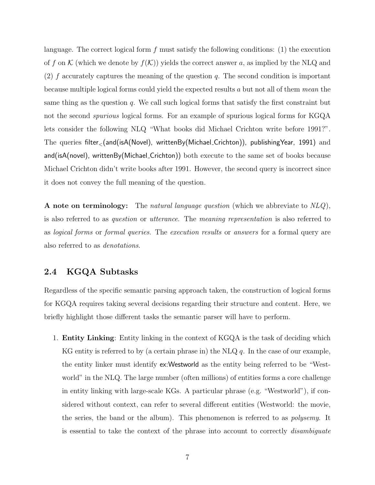language. The correct logical form  $f$  must satisfy the following conditions: (1) the execution of f on K (which we denote by  $f(\mathcal{K})$ ) yields the correct answer a, as implied by the NLQ and (2) f accurately captures the meaning of the question q. The second condition is important because multiple logical forms could yield the expected results a but not all of them mean the same thing as the question  $q$ . We call such logical forms that satisfy the first constraint but not the second spurious logical forms. For an example of spurious logical forms for KGQA lets consider the following NLQ "What books did Michael Crichton write before 1991?". The queries filter<(and(isA(Novel), writtenBy(Michael Crichton)), publishingYear, 1991) and and(isA(novel), writtenBy(Michael Crichton)) both execute to the same set of books because Michael Crichton didn't write books after 1991. However, the second query is incorrect since it does not convey the full meaning of the question.

A note on terminology: The natural language question (which we abbreviate to  $NLQ$ ), is also referred to as question or utterance. The meaning representation is also referred to as logical forms or formal queries. The execution results or answers for a formal query are also referred to as denotations.

### 2.4 KGQA Subtasks

Regardless of the specific semantic parsing approach taken, the construction of logical forms for KGQA requires taking several decisions regarding their structure and content. Here, we briefly highlight those different tasks the semantic parser will have to perform.

1. Entity Linking: Entity linking in the context of KGQA is the task of deciding which KG entity is referred to by (a certain phrase in) the NLQ  $q$ . In the case of our example, the entity linker must identify ex:Westworld as the entity being referred to be "Westworld" in the NLQ. The large number (often millions) of entities forms a core challenge in entity linking with large-scale KGs. A particular phrase (e.g. "Westworld"), if considered without context, can refer to several different entities (Westworld: the movie, the series, the band or the album). This phenomenon is referred to as polysemy. It is essential to take the context of the phrase into account to correctly disambiguate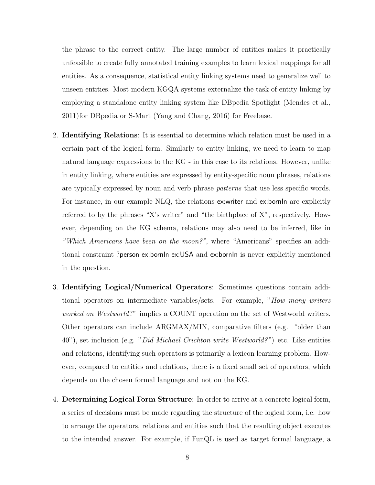the phrase to the correct entity. The large number of entities makes it practically unfeasible to create fully annotated training examples to learn lexical mappings for all entities. As a consequence, statistical entity linking systems need to generalize well to unseen entities. Most modern KGQA systems externalize the task of entity linking by employing a standalone entity linking system like DBpedia Spotlight [\(Mendes et al.,](#page-42-1) [2011\)](#page-42-1)for DBpedia or S-Mart [\(Yang and Chang,](#page-46-0) [2016\)](#page-46-0) for Freebase.

- 2. Identifying Relations: It is essential to determine which relation must be used in a certain part of the logical form. Similarly to entity linking, we need to learn to map natural language expressions to the KG - in this case to its relations. However, unlike in entity linking, where entities are expressed by entity-specific noun phrases, relations are typically expressed by noun and verb phrase patterns that use less specific words. For instance, in our example NLQ, the relations ex: writer and ex: bornIn are explicitly referred to by the phrases "X's writer" and "the birthplace of X", respectively. However, depending on the KG schema, relations may also need to be inferred, like in "Which Americans have been on the moon?", where "Americans" specifies an additional constraint ?person ex:bornIn ex:USA and ex:bornIn is never explicitly mentioned in the question.
- 3. Identifying Logical/Numerical Operators: Sometimes questions contain additional operators on intermediate variables/sets. For example, "How many writers worked on Westworld?" implies a COUNT operation on the set of Westworld writers. Other operators can include ARGMAX/MIN, comparative filters (e.g. "older than 40"), set inclusion (e.g. "Did Michael Crichton write Westworld?") etc. Like entities and relations, identifying such operators is primarily a lexicon learning problem. However, compared to entities and relations, there is a fixed small set of operators, which depends on the chosen formal language and not on the KG.
- 4. Determining Logical Form Structure: In order to arrive at a concrete logical form, a series of decisions must be made regarding the structure of the logical form, i.e. how to arrange the operators, relations and entities such that the resulting object executes to the intended answer. For example, if FunQL is used as target formal language, a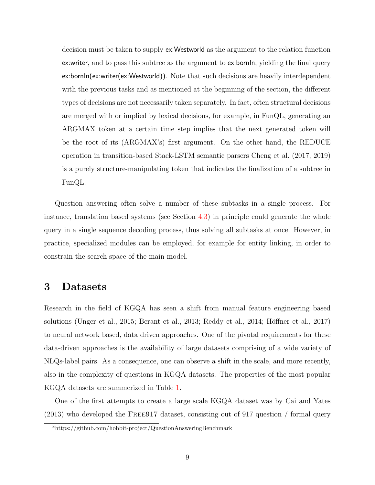decision must be taken to supply ex:Westworld as the argument to the relation function ex: writer, and to pass this subtree as the argument to ex: bornln, yielding the final query ex:bornIn(ex:writer(ex:Westworld)). Note that such decisions are heavily interdependent with the previous tasks and as mentioned at the beginning of the section, the different types of decisions are not necessarily taken separately. In fact, often structural decisions are merged with or implied by lexical decisions, for example, in FunQL, generating an ARGMAX token at a certain time step implies that the next generated token will be the root of its (ARGMAX's) first argument. On the other hand, the REDUCE operation in transition-based Stack-LSTM semantic parsers [Cheng et al.](#page-36-4) [\(2017,](#page-36-4) [2019\)](#page-36-2) is a purely structure-manipulating token that indicates the finalization of a subtree in FunQL.

Question answering often solve a number of these subtasks in a single process. For instance, translation based systems (see Section [4.3\)](#page-21-0) in principle could generate the whole query in a single sequence decoding process, thus solving all subtasks at once. However, in practice, specialized modules can be employed, for example for entity linking, in order to constrain the search space of the main model.

## <span id="page-8-0"></span>3 Datasets

Research in the field of KGQA has seen a shift from manual feature engineering based solutions [\(Unger et al.,](#page-45-0) [2015;](#page-45-0) [Berant et al.,](#page-36-0) [2013;](#page-36-0) [Reddy et al.,](#page-43-0) [2014;](#page-43-0) Höffner et al., [2017\)](#page-39-1) to neural network based, data driven approaches. One of the pivotal requirements for these data-driven approaches is the availability of large datasets comprising of a wide variety of NLQs-label pairs. As a consequence, one can observe a shift in the scale, and more recently, also in the complexity of questions in KGQA datasets. The properties of the most popular KGQA datasets are summerized in Table [1.](#page-9-0)

One of the first attempts to create a large scale KGQA dataset was by [Cai and Yates](#page-36-5) [\(2013\)](#page-36-5) who developed the Free917 dataset, consisting out of 917 question / formal query

<span id="page-8-1"></span><sup>8</sup>https://github.com/hobbit-project/QuestionAnsweringBenchmark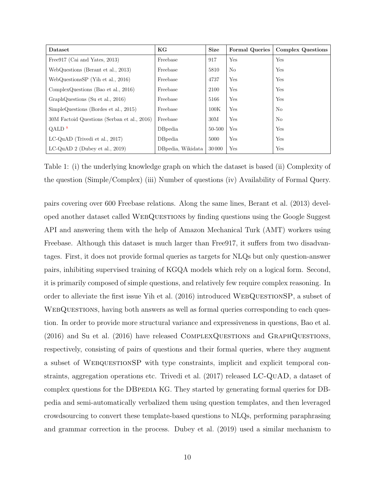<span id="page-9-0"></span>

| Dataset                                     | KG                | <b>Size</b> | <b>Formal Queries</b> | <b>Complex Questions</b> |
|---------------------------------------------|-------------------|-------------|-----------------------|--------------------------|
| Free 917 (Cai and Yates, 2013)              | Freebase          | 917         | Yes                   | Yes                      |
| WebQuestions (Berant et al., 2013)          | Freebase          | 5810        | No                    | Yes                      |
| WebQuestionsSP (Yih et al., 2016)           | Freebase          | 4737        | Yes                   | Yes                      |
| ComplexQuestions (Bao et al., $2016$ )      | Freebase          | 2100        | Yes                   | Yes                      |
| GraphQuestions (Su et al., 2016)            | Freebase          | 5166        | Yes                   | Yes                      |
| SimpleQuestions (Bordes et al., 2015)       | Freebase          | 100K        | Yes                   | No                       |
| 30M Factoid Questions (Serban et al., 2016) | Freebase          | 30M         | Yes                   | N <sub>o</sub>           |
| $QALD$ <sup>8</sup>                         | DBpedia           | 50-500      | Yes                   | Yes                      |
| $LC$ -QuAD (Trivedi et al., 2017)           | <b>D</b> Bpedia   | 5000        | Yes                   | Yes                      |
| $LC-QuAD 2$ (Dubey et al., 2019)            | DBpedia, Wikidata | 30 000      | Yes                   | Yes                      |

Table 1: (i) the underlying knowledge graph on which the dataset is based (ii) Complexity of the question (Simple/Complex) (iii) Number of questions (iv) Availability of Formal Query.

pairs covering over 600 Freebase relations. Along the same lines, [Berant et al.](#page-36-0) [\(2013\)](#page-36-0) developed another dataset called WebQuestions by finding questions using the Google Suggest API and answering them with the help of Amazon Mechanical Turk (AMT) workers using Freebase. Although this dataset is much larger than Free917, it suffers from two disadvantages. First, it does not provide formal queries as targets for NLQs but only question-answer pairs, inhibiting supervised training of KGQA models which rely on a logical form. Second, it is primarily composed of simple questions, and relatively few require complex reasoning. In order to alleviate the first issue [Yih et al.](#page-46-1) [\(2016\)](#page-46-1) introduced WebQuestionSP, a subset of WEBQUESTIONS, having both answers as well as formal queries corresponding to each question. In order to provide more structural variance and expressiveness in questions, [Bao et al.](#page-35-2) [\(2016\)](#page-35-2) and [Su et al.](#page-44-0) [\(2016\)](#page-44-0) have released ComplexQuestions and GraphQuestions, respectively, consisting of pairs of questions and their formal queries, where they augment a subset of WEBQUESTIONSP with type constraints, implicit and explicit temporal constraints, aggregation operations etc. [Trivedi et al.](#page-45-2) [\(2017\)](#page-45-2) released LC-QuAD, a dataset of complex questions for the DBPEDIA KG. They started by generating formal queries for DBpedia and semi-automatically verbalized them using question templates, and then leveraged crowdsourcing to convert these template-based questions to NLQs, performing paraphrasing and grammar correction in the process. [Dubey et al.](#page-38-2) [\(2019\)](#page-38-2) used a similar mechanism to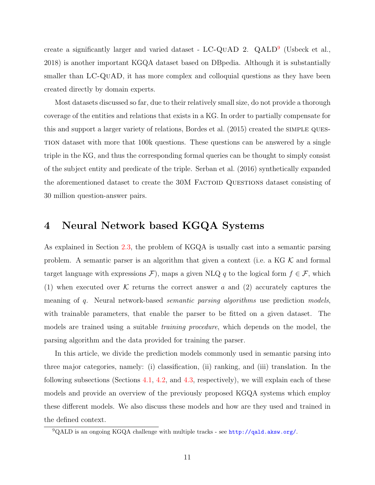create a significantly larger and varied dataset -  $LC$ -QUAD 2. QALD<sup>[9](#page-10-1)</sup> [\(Usbeck et al.,](#page-45-3) [2018\)](#page-45-3) is another important KGQA dataset based on DBpedia. Although it is substantially smaller than LC-QuAD, it has more complex and colloquial questions as they have been created directly by domain experts.

Most datasets discussed so far, due to their relatively small size, do not provide a thorough coverage of the entities and relations that exists in a KG. In order to partially compensate for this and support a larger variety of relations, [Bordes et al.](#page-36-6) [\(2015\)](#page-36-6) created the simple question dataset with more that 100k questions. These questions can be answered by a single triple in the KG, and thus the corresponding formal queries can be thought to simply consist of the subject entity and predicate of the triple. [Serban et al.](#page-44-1) [\(2016\)](#page-44-1) synthetically expanded the aforementioned dataset to create the 30M FACTOID QUESTIONS dataset consisting of 30 million question-answer pairs.

# <span id="page-10-0"></span>4 Neural Network based KGQA Systems

As explained in Section [2.3,](#page-5-0) the problem of KGQA is usually cast into a semantic parsing problem. A semantic parser is an algorithm that given a context (i.e. a KG  $K$  and formal target language with expressions  $\mathcal{F}$ ), maps a given NLQ q to the logical form  $f \in \mathcal{F}$ , which (1) when executed over K returns the correct answer a and (2) accurately captures the meaning of q. Neural network-based *semantic parsing algorithms* use prediction models, with trainable parameters, that enable the parser to be fitted on a given dataset. The models are trained using a suitable training procedure, which depends on the model, the parsing algorithm and the data provided for training the parser.

In this article, we divide the prediction models commonly used in semantic parsing into three major categories, namely: (i) classification, (ii) ranking, and (iii) translation. In the following subsections (Sections [4.1,](#page-11-0) [4.2,](#page-15-0) and [4.3,](#page-21-0) respectively), we will explain each of these models and provide an overview of the previously proposed KGQA systems which employ these different models. We also discuss these models and how are they used and trained in the defined context.

<span id="page-10-1"></span><sup>9</sup>QALD is an ongoing KGQA challenge with multiple tracks - see <http://qald.aksw.org/>.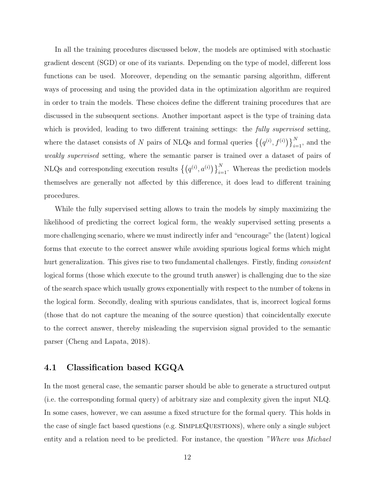In all the training procedures discussed below, the models are optimised with stochastic gradient descent (SGD) or one of its variants. Depending on the type of model, different loss functions can be used. Moreover, depending on the semantic parsing algorithm, different ways of processing and using the provided data in the optimization algorithm are required in order to train the models. These choices define the different training procedures that are discussed in the subsequent sections. Another important aspect is the type of training data which is provided, leading to two different training settings: the fully supervised setting, where the dataset consists of N pairs of NLQs and formal queries  $\{(q^{(i)}, f^{(i)})\}_{i=1}^N$ , and the weakly supervised setting, where the semantic parser is trained over a dataset of pairs of NLQs and corresponding execution results  $\{ (q^{(i)}, a^{(i)}) \}_{i=1}^N$ . Whereas the prediction models themselves are generally not affected by this difference, it does lead to different training procedures.

While the fully supervised setting allows to train the models by simply maximizing the likelihood of predicting the correct logical form, the weakly supervised setting presents a more challenging scenario, where we must indirectly infer and "encourage" the (latent) logical forms that execute to the correct answer while avoiding spurious logical forms which might hurt generalization. This gives rise to two fundamental challenges. Firstly, finding *consistent* logical forms (those which execute to the ground truth answer) is challenging due to the size of the search space which usually grows exponentially with respect to the number of tokens in the logical form. Secondly, dealing with spurious candidates, that is, incorrect logical forms (those that do not capture the meaning of the source question) that coincidentally execute to the correct answer, thereby misleading the supervision signal provided to the semantic parser [\(Cheng and Lapata,](#page-36-7) [2018\)](#page-36-7).

### <span id="page-11-0"></span>4.1 Classification based KGQA

In the most general case, the semantic parser should be able to generate a structured output (i.e. the corresponding formal query) of arbitrary size and complexity given the input NLQ. In some cases, however, we can assume a fixed structure for the formal query. This holds in the case of single fact based questions (e.g. SimpleQuestions), where only a single subject entity and a relation need to be predicted. For instance, the question "Where was Michael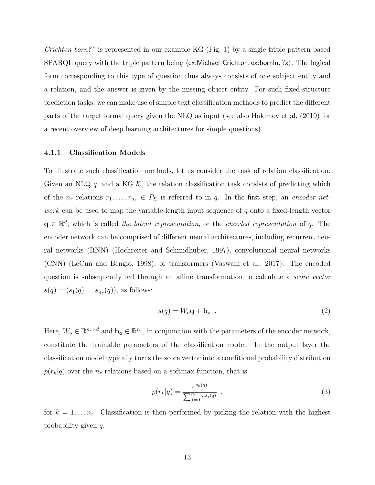*Crichton born?*" is represented in our example KG (Fig. [1\)](#page-2-1) by a single triple pattern based SPARQL query with the triple pattern being  $\langle$ ex:Michael Crichton, ex:bornIn, ?x $\rangle$ . The logical form corresponding to this type of question thus always consists of one subject entity and a relation, and the answer is given by the missing object entity. For such fixed-structure prediction tasks, we can make use of simple text classification methods to predict the different parts of the target formal query given the NLQ as input (see also [Hakimov et al.](#page-39-2) [\(2019\)](#page-39-2) for a recent overview of deep learning architectures for simple questions).

#### 4.1.1 Classification Models

To illustrate such classification methods, let us consider the task of relation classification. Given an NLQ q, and a KG  $K$ , the relation classification task consists of predicting which of the  $n_r$  relations  $r_1, \ldots, r_{n_r} \in P_{\mathcal{K}}$  is referred to in q. In the first step, an encoder network can be used to map the variable-length input sequence of q onto a fixed-length vector  $\mathbf{q} \in \mathbb{R}^d$ , which is called the latent representation, or the encoded representation of q. The encoder network can be comprised of different neural architectures, including recurrent neural networks (RNN) [\(Hochreiter and Schmidhuber,](#page-39-3) [1997\)](#page-39-3), convolutional neural networks (CNN) [\(LeCun and Bengio,](#page-40-3) [1998\)](#page-40-3), or transformers [\(Vaswani et al.,](#page-45-4) [2017\)](#page-45-4). The encoded question is subsequently fed through an affine transformation to calculate a score vector  $s(q) = (s_1(q) \dots s_{n_r}(q)),$  as follows:

<span id="page-12-0"></span>
$$
s(q) = W_o \mathbf{q} + \mathbf{b_o} \tag{2}
$$

Here,  $W_o \in \mathbb{R}^{n_r \times d}$  and  $\mathbf{b_o} \in \mathbb{R}^{n_r}$ , in conjunction with the parameters of the encoder network, constitute the trainable parameters of the classification model. In the output layer the classification model typically turns the score vector into a conditional probability distribution  $p(r_k|q)$  over the  $n_r$  relations based on a softmax function, that is

<span id="page-12-1"></span>
$$
p(r_k|q) = \frac{e^{s_k(q)}}{\sum_{j=0}^{n_r} e^{s_j(q)}} \quad , \tag{3}
$$

for  $k = 1, \ldots n_r$ . Classification is then performed by picking the relation with the highest probability given q.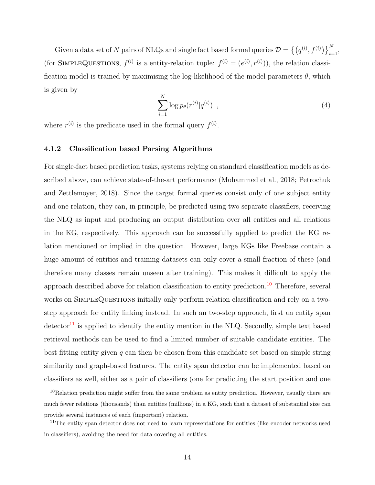Given a data set of N pairs of NLQs and single fact based formal queries  $\mathcal{D} = \left\{\left(q^{(i)}, f^{(i)}\right)\right\}_{i=1}^N$ (for SIMPLEQUESTIONS,  $f^{(i)}$  is a entity-relation tuple:  $f^{(i)} = (e^{(i)}, r^{(i)})$ ), the relation classification model is trained by maximising the log-likelihood of the model parameters  $\theta$ , which is given by

$$
\sum_{i=1}^{N} \log p_{\theta}(r^{(i)}|q^{(i)}) \tag{4}
$$

where  $r^{(i)}$  is the predicate used in the formal query  $f^{(i)}$ .

#### 4.1.2 Classification based Parsing Algorithms

For single-fact based prediction tasks, systems relying on standard classification models as described above, can achieve state-of-the-art performance [\(Mohammed et al.,](#page-42-2) [2018;](#page-42-2) [Petrochuk](#page-43-1) [and Zettlemoyer,](#page-43-1) [2018\)](#page-43-1). Since the target formal queries consist only of one subject entity and one relation, they can, in principle, be predicted using two separate classifiers, receiving the NLQ as input and producing an output distribution over all entities and all relations in the KG, respectively. This approach can be successfully applied to predict the KG relation mentioned or implied in the question. However, large KGs like Freebase contain a huge amount of entities and training datasets can only cover a small fraction of these (and therefore many classes remain unseen after training). This makes it difficult to apply the approach described above for relation classification to entity prediction.[10](#page-13-0) Therefore, several works on SIMPLEQUESTIONS initially only perform relation classification and rely on a twostep approach for entity linking instead. In such an two-step approach, first an entity span  $\det$ ector<sup>[11](#page-13-1)</sup> is applied to identify the entity mention in the NLQ. Secondly, simple text based retrieval methods can be used to find a limited number of suitable candidate entities. The best fitting entity given q can then be chosen from this candidate set based on simple string similarity and graph-based features. The entity span detector can be implemented based on classifiers as well, either as a pair of classifiers (one for predicting the start position and one

<span id="page-13-0"></span><sup>&</sup>lt;sup>10</sup>Relation prediction might suffer from the same problem as entity prediction. However, usually there are much fewer relations (thousands) than entities (millions) in a KG, such that a dataset of substantial size can provide several instances of each (important) relation.

<span id="page-13-1"></span><sup>&</sup>lt;sup>11</sup>The entity span detector does not need to learn representations for entities (like encoder networks used in classifiers), avoiding the need for data covering all entities.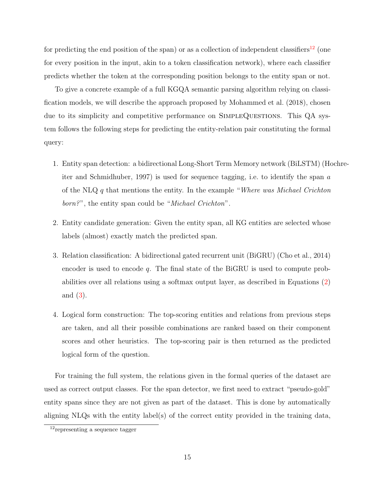for predicting the end position of the span) or as a collection of independent classifiers<sup>[12](#page-14-0)</sup> (one for every position in the input, akin to a token classification network), where each classifier predicts whether the token at the corresponding position belongs to the entity span or not.

To give a concrete example of a full KGQA semantic parsing algorithm relying on classification models, we will describe the approach proposed by [Mohammed et al.](#page-42-2) [\(2018\)](#page-42-2), chosen due to its simplicity and competitive performance on SIMPLEQUESTIONS. This QA system follows the following steps for predicting the entity-relation pair constituting the formal query:

- 1. Entity span detection: a bidirectional Long-Short Term Memory network (BiLSTM) [\(Ho](#page-39-3)chre[iter and Schmidhuber,](#page-39-3) [1997\)](#page-39-3) is used for sequence tagging, i.e. to identify the span  $a$ of the NLQ q that mentions the entity. In the example "Where was Michael Crichton" born?", the entity span could be "Michael Crichton".
- 2. Entity candidate generation: Given the entity span, all KG entities are selected whose labels (almost) exactly match the predicted span.
- 3. Relation classification: A bidirectional gated recurrent unit (BiGRU) [\(Cho et al.,](#page-37-1) [2014\)](#page-37-1) encoder is used to encode q. The final state of the BiGRU is used to compute probabilities over all relations using a softmax output layer, as described in Equations [\(2\)](#page-12-0) and [\(3\)](#page-12-1).
- 4. Logical form construction: The top-scoring entities and relations from previous steps are taken, and all their possible combinations are ranked based on their component scores and other heuristics. The top-scoring pair is then returned as the predicted logical form of the question.

For training the full system, the relations given in the formal queries of the dataset are used as correct output classes. For the span detector, we first need to extract "pseudo-gold" entity spans since they are not given as part of the dataset. This is done by automatically aligning NLQs with the entity label(s) of the correct entity provided in the training data,

<span id="page-14-0"></span><sup>&</sup>lt;sup>12</sup>representing a sequence tagger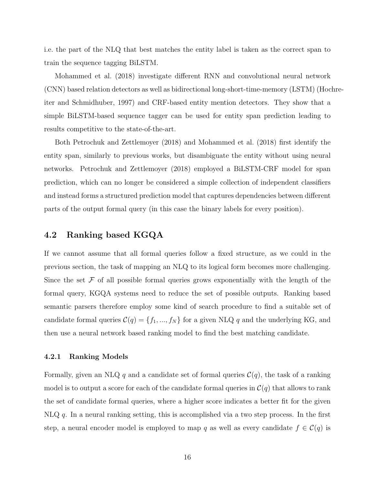i.e. the part of the NLQ that best matches the entity label is taken as the correct span to train the sequence tagging BiLSTM.

[Mohammed et al.](#page-42-2) [\(2018\)](#page-42-2) investigate different RNN and convolutional neural network (CNN) based relation detectors as well as bidirectional long-short-time-memory (LSTM) [\(Hoc](#page-39-3)hre[iter and Schmidhuber,](#page-39-3) [1997\)](#page-39-3) and CRF-based entity mention detectors. They show that a simple BiLSTM-based sequence tagger can be used for entity span prediction leading to results competitive to the state-of-the-art.

Both [Petrochuk and Zettlemoyer](#page-43-1) [\(2018\)](#page-43-1) and [Mohammed et al.](#page-42-2) [\(2018\)](#page-42-2) first identify the entity span, similarly to previous works, but disambiguate the entity without using neural networks. [Petrochuk and Zettlemoyer](#page-43-1) [\(2018\)](#page-43-1) employed a BiLSTM-CRF model for span prediction, which can no longer be considered a simple collection of independent classifiers and instead forms a structured prediction model that captures dependencies between different parts of the output formal query (in this case the binary labels for every position).

### <span id="page-15-0"></span>4.2 Ranking based KGQA

If we cannot assume that all formal queries follow a fixed structure, as we could in the previous section, the task of mapping an NLQ to its logical form becomes more challenging. Since the set  $\mathcal F$  of all possible formal queries grows exponentially with the length of the formal query, KGQA systems need to reduce the set of possible outputs. Ranking based semantic parsers therefore employ some kind of search procedure to find a suitable set of candidate formal queries  $C(q) = \{f_1, ..., f_N\}$  for a given NLQ q and the underlying KG, and then use a neural network based ranking model to find the best matching candidate.

#### 4.2.1 Ranking Models

Formally, given an NLQ q and a candidate set of formal queries  $\mathcal{C}(q)$ , the task of a ranking model is to output a score for each of the candidate formal queries in  $\mathcal{C}(q)$  that allows to rank the set of candidate formal queries, where a higher score indicates a better fit for the given  $N\text{LQ } q$ . In a neural ranking setting, this is accomplished via a two step process. In the first step, a neural encoder model is employed to map q as well as every candidate  $f \in C(q)$  is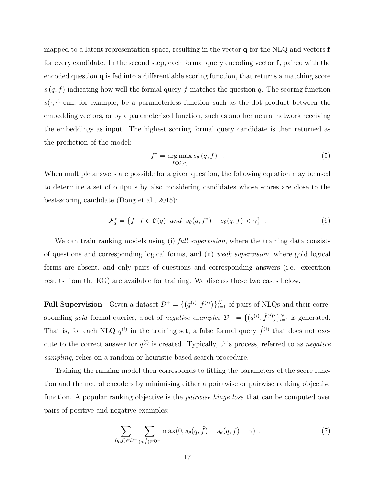mapped to a latent representation space, resulting in the vector **q** for the NLQ and vectors **f** for every candidate. In the second step, each formal query encoding vector  $f$ , paired with the encoded question q is fed into a differentiable scoring function, that returns a matching score  $s(q, f)$  indicating how well the formal query f matches the question q. The scoring function  $s(\cdot, \cdot)$  can, for example, be a parameterless function such as the dot product between the embedding vectors, or by a parameterized function, such as another neural network receiving the embeddings as input. The highest scoring formal query candidate is then returned as the prediction of the model:

$$
f^* = \underset{f \in \mathcal{C}(q)}{\arg \max s_{\theta}(q, f)} \quad . \tag{5}
$$

When multiple answers are possible for a given question, the following equation may be used to determine a set of outputs by also considering candidates whose scores are close to the best-scoring candidate [\(Dong et al.,](#page-38-3) [2015\)](#page-38-3):

$$
\mathcal{F}_a^* = \{ f \mid f \in \mathcal{C}(q) \text{ and } s_{\theta}(q, f^*) - s_{\theta}(q, f) < \gamma \} \tag{6}
$$

We can train ranking models using (i) full supervision, where the training data consists of questions and corresponding logical forms, and (ii) weak supervision, where gold logical forms are absent, and only pairs of questions and corresponding answers (i.e. execution results from the KG) are available for training. We discuss these two cases below.

**Full Supervision** Given a dataset  $\mathcal{D}^+ = \{ (q^{(i)}, f^{(i)}) \}_{i=1}^N$  of pairs of NLQs and their corresponding gold formal queries, a set of negative examples  $\mathcal{D}^- = \{(q^{(i)}, \hat{f}^{(i)})\}_{i=1}^N$  is generated. That is, for each NLQ  $q^{(i)}$  in the training set, a false formal query  $\hat{f}^{(i)}$  that does not execute to the correct answer for  $q^{(i)}$  is created. Typically, this process, referred to as *negative* sampling, relies on a random or heuristic-based search procedure.

Training the ranking model then corresponds to fitting the parameters of the score function and the neural encoders by minimising either a pointwise or pairwise ranking objective function. A popular ranking objective is the *pairwise hinge loss* that can be computed over pairs of positive and negative examples:

<span id="page-16-0"></span>
$$
\sum_{(q,f)\in\mathcal{D}^+}\sum_{(q,\hat{f})\in\mathcal{D}^-}\max(0,s_{\theta}(q,\hat{f})-s_{\theta}(q,f)+\gamma) ,\qquad(7)
$$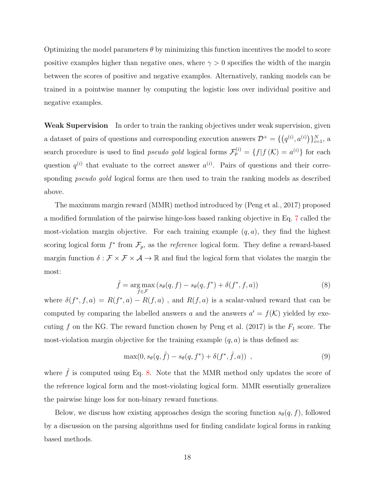Optimizing the model parameters  $\theta$  by minimizing this function incentives the model to score positive examples higher than negative ones, where  $\gamma > 0$  specifies the width of the margin between the scores of positive and negative examples. Alternatively, ranking models can be trained in a pointwise manner by computing the logistic loss over individual positive and negative examples.

Weak Supervision In order to train the ranking objectives under weak supervision, given a dataset of pairs of questions and corresponding execution answers  $\mathcal{D}^+ = \{ (q^{(i)}, a^{(i)}) \}_{i=1}^N$ , a search procedure is used to find *pseudo gold* logical forms  $\mathcal{F}_p^{(i)} = \{f | f(K) = a^{(i)}\}$  for each question  $q^{(i)}$  that evaluate to the correct answer  $a^{(i)}$ . Pairs of questions and their corresponding *pseudo gold* logical forms are then used to train the ranking models as described above.

The maximum margin reward (MMR) method introduced by [\(Peng et al.,](#page-42-3) [2017\)](#page-42-3) proposed a modified formulation of the pairwise hinge-loss based ranking objective in Eq. [7](#page-16-0) called the most-violation margin objective. For each training example  $(q, a)$ , they find the highest scoring logical form  $f^*$  from  $\mathcal{F}_p$ , as the *reference* logical form. They define a reward-based margin function  $\delta : \mathcal{F} \times \mathcal{F} \times \mathcal{A} \to \mathbb{R}$  and find the logical form that violates the margin the most:

<span id="page-17-0"></span>
$$
\hat{f} = \underset{f \in \mathcal{F}}{\arg \max} (s_{\theta}(q, f) - s_{\theta}(q, f^*) + \delta(f^*, f, a))
$$
\n(8)

where  $\delta(f^*, f, a) = R(f^*, a) - R(f, a)$ , and  $R(f, a)$  is a scalar-valued reward that can be computed by comparing the labelled answers a and the answers  $a' = f(\mathcal{K})$  yielded by exe-cuting f on the KG. The reward function chosen by [Peng et al.](#page-42-3) [\(2017\)](#page-42-3) is the  $F_1$  score. The most-violation margin objective for the training example  $(q, a)$  is thus defined as:

$$
\max(0, s_{\theta}(q, \hat{f}) - s_{\theta}(q, f^*) + \delta(f^*, \hat{f}, a)) , \qquad (9)
$$

where  $\hat{f}$  is computed using Eq. [8.](#page-17-0) Note that the MMR method only updates the score of the reference logical form and the most-violating logical form. MMR essentially generalizes the pairwise hinge loss for non-binary reward functions.

Below, we discuss how existing approaches design the scoring function  $s_{\theta}(q, f)$ , followed by a discussion on the parsing algorithms used for finding candidate logical forms in ranking based methods.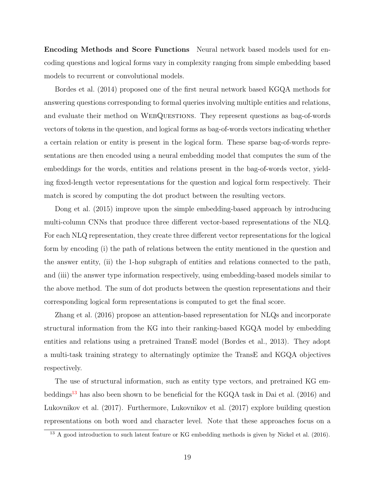Encoding Methods and Score Functions Neural network based models used for encoding questions and logical forms vary in complexity ranging from simple embedding based models to recurrent or convolutional models.

[Bordes et al.](#page-36-1) [\(2014\)](#page-36-1) proposed one of the first neural network based KGQA methods for answering questions corresponding to formal queries involving multiple entities and relations, and evaluate their method on WEBQUESTIONS. They represent questions as bag-of-words vectors of tokens in the question, and logical forms as bag-of-words vectors indicating whether a certain relation or entity is present in the logical form. These sparse bag-of-words representations are then encoded using a neural embedding model that computes the sum of the embeddings for the words, entities and relations present in the bag-of-words vector, yielding fixed-length vector representations for the question and logical form respectively. Their match is scored by computing the dot product between the resulting vectors.

[Dong et al.](#page-38-3) [\(2015\)](#page-38-3) improve upon the simple embedding-based approach by introducing multi-column CNNs that produce three different vector-based representations of the NLQ. For each NLQ representation, they create three different vector representations for the logical form by encoding (i) the path of relations between the entity mentioned in the question and the answer entity, (ii) the 1-hop subgraph of entities and relations connected to the path, and (iii) the answer type information respectively, using embedding-based models similar to the above method. The sum of dot products between the question representations and their corresponding logical form representations is computed to get the final score.

[Zhang et al.](#page-47-0) [\(2016\)](#page-47-0) propose an attention-based representation for NLQs and incorporate structural information from the KG into their ranking-based KGQA model by embedding entities and relations using a pretrained TransE model [\(Bordes et al.,](#page-36-8) [2013\)](#page-36-8). They adopt a multi-task training strategy to alternatingly optimize the TransE and KGQA objectives respectively.

The use of structural information, such as entity type vectors, and pretrained KG em-beddings<sup>[13](#page-18-0)</sup> has also been shown to be beneficial for the KGQA task in [Dai et al.](#page-37-2) [\(2016\)](#page-37-2) and [Lukovnikov et al.](#page-41-2) [\(2017\)](#page-41-2). Furthermore, [Lukovnikov et al.](#page-41-2) [\(2017\)](#page-41-2) explore building question representations on both word and character level. Note that these approaches focus on a

<span id="page-18-0"></span><sup>&</sup>lt;sup>13</sup> A good introduction to such latent feature or KG embedding methods is given by [Nickel et al.](#page-42-4) [\(2016\)](#page-42-4).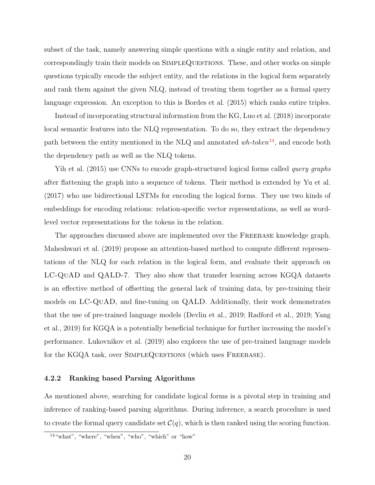subset of the task, namely answering simple questions with a single entity and relation, and correspondingly train their models on SimpleQuestions. These, and other works on simple questions typically encode the subject entity, and the relations in the logical form separately and rank them against the given NLQ, instead of treating them together as a formal query language expression. An exception to this is [Bordes et al.](#page-36-6) [\(2015\)](#page-36-6) which ranks entire triples.

Instead of incorporating structural information from the KG, [Luo et al.](#page-41-3) [\(2018\)](#page-41-3) incorporate local semantic features into the NLQ representation. To do so, they extract the dependency path between the entity mentioned in the NLQ and annotated  $wh\text{-}token^{14}$  $wh\text{-}token^{14}$  $wh\text{-}token^{14}$ , and encode both the dependency path as well as the NLQ tokens.

[Yih et al.](#page-46-2) [\(2015\)](#page-46-2) use CNNs to encode graph-structured logical forms called *query graphs* after flattening the graph into a sequence of tokens. Their method is extended by [Yu et al.](#page-46-3) [\(2017\)](#page-46-3) who use bidirectional LSTMs for encoding the logical forms. They use two kinds of embeddings for encoding relations: relation-specific vector representations, as well as wordlevel vector representations for the tokens in the relation.

The approaches discussed above are implemented over the FREEBASE knowledge graph. [Maheshwari et al.](#page-41-4) [\(2019\)](#page-41-4) propose an attention-based method to compute different representations of the NLQ for each relation in the logical form, and evaluate their approach on LC-QuAD and QALD-7. They also show that transfer learning across KGQA datasets is an effective method of offsetting the general lack of training data, by pre-training their models on LC-QuAD, and fine-tuning on QALD. Additionally, their work demonstrates that the use of pre-trained language models [\(Devlin et al.,](#page-37-3) [2019;](#page-37-3) [Radford et al.,](#page-43-2) [2019;](#page-43-2) [Yang](#page-46-4) [et al.,](#page-46-4) [2019\)](#page-46-4) for KGQA is a potentially beneficial technique for further increasing the model's performance. [Lukovnikov et al.](#page-41-5) [\(2019\)](#page-41-5) also explores the use of pre-trained language models for the KGQA task, over SIMPLEQUESTIONS (which uses FREEBASE).

#### <span id="page-19-1"></span>4.2.2 Ranking based Parsing Algorithms

As mentioned above, searching for candidate logical forms is a pivotal step in training and inference of ranking-based parsing algorithms. During inference, a search procedure is used to create the formal query candidate set  $\mathcal{C}(q)$ , which is then ranked using the scoring function.

<span id="page-19-0"></span><sup>14</sup>"what", "where", "when", "who", "which" or "how"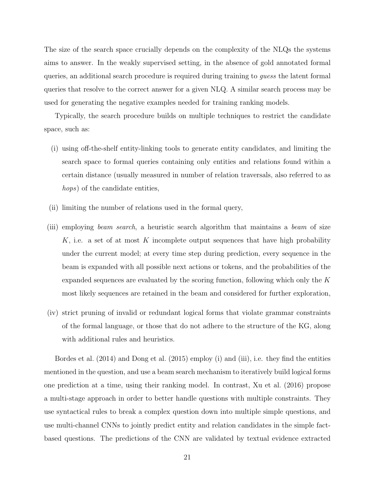The size of the search space crucially depends on the complexity of the NLQs the systems aims to answer. In the weakly supervised setting, in the absence of gold annotated formal queries, an additional search procedure is required during training to guess the latent formal queries that resolve to the correct answer for a given NLQ. A similar search process may be used for generating the negative examples needed for training ranking models.

Typically, the search procedure builds on multiple techniques to restrict the candidate space, such as:

- (i) using off-the-shelf entity-linking tools to generate entity candidates, and limiting the search space to formal queries containing only entities and relations found within a certain distance (usually measured in number of relation traversals, also referred to as hops) of the candidate entities,
- (ii) limiting the number of relations used in the formal query,
- (iii) employing beam search, a heuristic search algorithm that maintains a beam of size K, i.e. a set of at most K incomplete output sequences that have high probability under the current model; at every time step during prediction, every sequence in the beam is expanded with all possible next actions or tokens, and the probabilities of the expanded sequences are evaluated by the scoring function, following which only the K most likely sequences are retained in the beam and considered for further exploration,
- (iv) strict pruning of invalid or redundant logical forms that violate grammar constraints of the formal language, or those that do not adhere to the structure of the KG, along with additional rules and heuristics.

[Bordes et al.](#page-36-1) [\(2014\)](#page-36-1) and [Dong et al.](#page-38-3) [\(2015\)](#page-38-3) employ (i) and (iii), i.e. they find the entities mentioned in the question, and use a beam search mechanism to iteratively build logical forms one prediction at a time, using their ranking model. In contrast, [Xu et al.](#page-45-5) [\(2016\)](#page-45-5) propose a multi-stage approach in order to better handle questions with multiple constraints. They use syntactical rules to break a complex question down into multiple simple questions, and use multi-channel CNNs to jointly predict entity and relation candidates in the simple factbased questions. The predictions of the CNN are validated by textual evidence extracted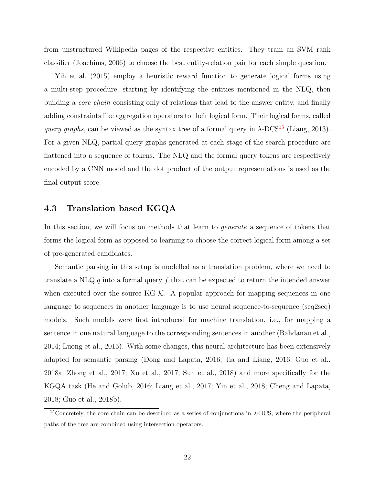from unstructured Wikipedia pages of the respective entities. They train an SVM rank classifier [\(Joachims,](#page-40-4) [2006\)](#page-40-4) to choose the best entity-relation pair for each simple question.

[Yih et al.](#page-46-2) [\(2015\)](#page-46-2) employ a heuristic reward function to generate logical forms using a multi-step procedure, starting by identifying the entities mentioned in the NLQ, then building a *core chain* consisting only of relations that lead to the answer entity, and finally adding constraints like aggregation operators to their logical form. Their logical forms, called query graphs, can be viewed as the syntax tree of a formal query in  $\lambda$ -DCS<sup>[15](#page-21-1)</sup> [\(Liang,](#page-41-1) [2013\)](#page-41-1). For a given NLQ, partial query graphs generated at each stage of the search procedure are flattened into a sequence of tokens. The NLQ and the formal query tokens are respectively encoded by a CNN model and the dot product of the output representations is used as the final output score.

### <span id="page-21-0"></span>4.3 Translation based KGQA

In this section, we will focus on methods that learn to *generate* a sequence of tokens that forms the logical form as opposed to learning to choose the correct logical form among a set of pre-generated candidates.

Semantic parsing in this setup is modelled as a translation problem, where we need to translate a NLQ q into a formal query f that can be expected to return the intended answer when executed over the source KG  $K$ . A popular approach for mapping sequences in one language to sequences in another language is to use neural sequence-to-sequence (seq2seq) models. Such models were first introduced for machine translation, i.e., for mapping a sentence in one natural language to the corresponding sentences in another [\(Bahdanau et al.,](#page-35-3) [2014;](#page-35-3) [Luong et al.,](#page-41-6) [2015\)](#page-41-6). With some changes, this neural architecture has been extensively adapted for semantic parsing [\(Dong and Lapata,](#page-37-4) [2016;](#page-37-4) [Jia and Liang,](#page-39-4) [2016;](#page-39-4) [Guo et al.,](#page-38-4) [2018a;](#page-38-4) [Zhong et al.,](#page-47-1) [2017;](#page-47-1) [Xu et al.,](#page-45-6) [2017;](#page-45-6) [Sun et al.,](#page-44-2) [2018\)](#page-44-2) and more specifically for the KGQA task [\(He and Golub,](#page-39-5) [2016;](#page-39-5) [Liang et al.,](#page-41-0) [2017;](#page-41-0) [Yin et al.,](#page-46-5) [2018;](#page-46-5) [Cheng and Lapata,](#page-36-7) [2018;](#page-36-7) [Guo et al.,](#page-39-6) [2018b\)](#page-39-6).

<span id="page-21-1"></span><sup>&</sup>lt;sup>15</sup>Concretely, the core chain can be described as a series of conjunctions in  $\lambda$ -DCS, where the peripheral paths of the tree are combined using intersection operators.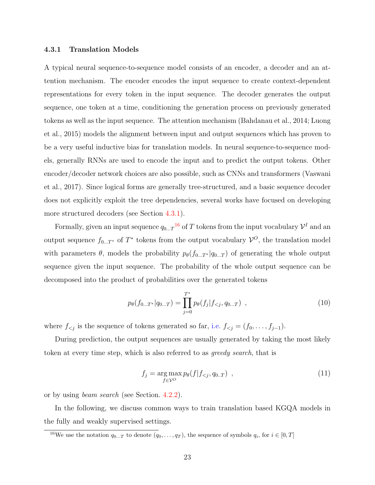#### 4.3.1 Translation Models

A typical neural sequence-to-sequence model consists of an encoder, a decoder and an attention mechanism. The encoder encodes the input sequence to create context-dependent representations for every token in the input sequence. The decoder generates the output sequence, one token at a time, conditioning the generation process on previously generated tokens as well as the input sequence. The attention mechanism [\(Bahdanau et al.,](#page-35-3) [2014;](#page-35-3) [Luong](#page-41-6) [et al.,](#page-41-6) [2015\)](#page-41-6) models the alignment between input and output sequences which has proven to be a very useful inductive bias for translation models. In neural sequence-to-sequence models, generally RNNs are used to encode the input and to predict the output tokens. Other encoder/decoder network choices are also possible, such as CNNs and transformers [\(Vaswani](#page-45-4) [et al.,](#page-45-4) [2017\)](#page-45-4). Since logical forms are generally tree-structured, and a basic sequence decoder does not explicitly exploit the tree dependencies, several works have focused on developing more structured decoders (see Section [4.3.1\)](#page-27-0).

Formally, given an input sequence  $q_{0...T}^{16}$  $q_{0...T}^{16}$  $q_{0...T}^{16}$  of T tokens from the input vocabulary  $\mathcal{V}^I$  and an output sequence  $f_{0...T^*}$  of  $T^*$  tokens from the output vocabulary  $\mathcal{V}^O$ , the translation model with parameters  $\theta$ , models the probability  $p_{\theta}(f_{0...T^*}|q_{0...T})$  of generating the whole output sequence given the input sequence. The probability of the whole output sequence can be decomposed into the product of probabilities over the generated tokens

$$
p_{\theta}(f_{0...T^{*}}|q_{0...T}) = \prod_{j=0}^{T^{*}} p_{\theta}(f_{j}|f_{
$$

where  $f_{\le j}$  is the sequence of tokens generated so far, i.e.  $f_{\le j} = (f_0, \ldots, f_{j-1})$ .

During prediction, the output sequences are usually generated by taking the most likely token at every time step, which is also referred to as greedy search, that is

$$
f_j = \underset{f \in \mathcal{V}^O}{\arg \max} p_\theta(f | f_{\leq j}, q_{0..T}) \quad , \tag{11}
$$

or by using beam search (see Section. [4.2.2\)](#page-19-1).

In the following, we discuss common ways to train translation based KGQA models in the fully and weakly supervised settings.

<span id="page-22-0"></span><sup>&</sup>lt;sup>16</sup>We use the notation  $q_{0...T}$  to denote  $(q_0, \ldots, q_T)$ , the sequence of symbols  $q_i$ , for  $i \in [0, T]$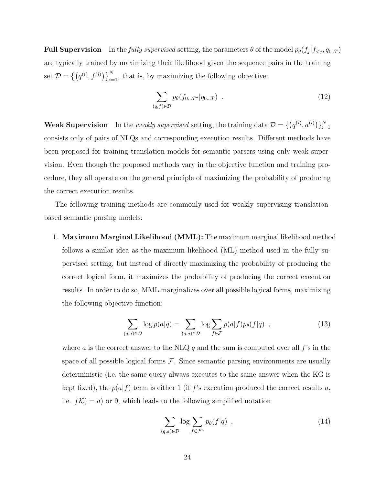**Full Supervision** In the fully supervised setting, the parameters  $\theta$  of the model  $p_{\theta}(f_j|f_{\leq j}, q_{0..T})$ are typically trained by maximizing their likelihood given the sequence pairs in the training set  $\mathcal{D} = \left\{ (q^{(i)}, f^{(i)}) \right\}_{i=1}^{N}$ , that is, by maximizing the following objective:

$$
\sum_{(q,f)\in\mathcal{D}} p_{\theta}(f_{0\ldots T^*}|q_{0\ldots T}) \quad . \tag{12}
$$

<span id="page-23-0"></span>**Weak Supervision** In the *weakly supervised* setting, the training data  $\mathcal{D} = \{ (q^{(i)}, a^{(i)}) \}_{i=1}^N$ consists only of pairs of NLQs and corresponding execution results. Different methods have been proposed for training translation models for semantic parsers using only weak supervision. Even though the proposed methods vary in the objective function and training procedure, they all operate on the general principle of maximizing the probability of producing the correct execution results.

The following training methods are commonly used for weakly supervising translationbased semantic parsing models:

1. Maximum Marginal Likelihood (MML): The maximum marginal likelihood method follows a similar idea as the maximum likelihood (ML) method used in the fully supervised setting, but instead of directly maximizing the probability of producing the correct logical form, it maximizes the probability of producing the correct execution results. In order to do so, MML marginalizes over all possible logical forms, maximizing the following objective function:

$$
\sum_{(q,a)\in\mathcal{D}} \log p(a|q) = \sum_{(q,a)\in\mathcal{D}} \log \sum_{f\in\mathcal{F}} p(a|f) p_{\theta}(f|q) , \qquad (13)
$$

where a is the correct answer to the NLQ  $q$  and the sum is computed over all  $f$ 's in the space of all possible logical forms  $F$ . Since semantic parsing environments are usually deterministic (i.e. the same query always executes to the same answer when the KG is kept fixed), the  $p(a|f)$  term is either 1 (if f's execution produced the correct results a, i.e.  $f(\mathcal{K}) = a$  or 0, which leads to the following simplified notation

$$
\sum_{(q,a)\in\mathcal{D}} \log \sum_{f\in\mathcal{F}^*} p_{\theta}(f|q) , \qquad (14)
$$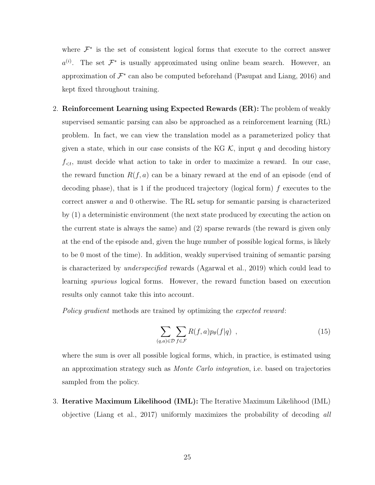where  $\mathcal{F}^*$  is the set of consistent logical forms that execute to the correct answer  $a^{(i)}$ . The set  $\mathcal{F}^*$  is usually approximated using online beam search. However, an approximation of  $\mathcal{F}^*$  can also be computed beforehand [\(Pasupat and Liang,](#page-42-5) [2016\)](#page-42-5) and kept fixed throughout training.

2. Reinforcement Learning using Expected Rewards (ER): The problem of weakly supervised semantic parsing can also be approached as a reinforcement learning (RL) problem. In fact, we can view the translation model as a parameterized policy that given a state, which in our case consists of the KG  $K$ , input q and decoding history  $f_{\leq t}$ , must decide what action to take in order to maximize a reward. In our case, the reward function  $R(f, a)$  can be a binary reward at the end of an episode (end of decoding phase), that is 1 if the produced trajectory (logical form) f executes to the correct answer a and 0 otherwise. The RL setup for semantic parsing is characterized by (1) a deterministic environment (the next state produced by executing the action on the current state is always the same) and (2) sparse rewards (the reward is given only at the end of the episode and, given the huge number of possible logical forms, is likely to be 0 most of the time). In addition, weakly supervised training of semantic parsing is characterized by underspecified rewards [\(Agarwal et al.,](#page-35-4) [2019\)](#page-35-4) which could lead to learning spurious logical forms. However, the reward function based on execution results only cannot take this into account.

Policy gradient methods are trained by optimizing the expected reward:

$$
\sum_{(q,a)\in\mathcal{D}}\sum_{f\in\mathcal{F}}R(f,a)p_{\theta}(f|q) , \qquad (15)
$$

where the sum is over all possible logical forms, which, in practice, is estimated using an approximation strategy such as Monte Carlo integration, i.e. based on trajectories sampled from the policy.

3. Iterative Maximum Likelihood (IML): The Iterative Maximum Likelihood (IML) objective [\(Liang et al.,](#page-41-0) [2017\)](#page-41-0) uniformly maximizes the probability of decoding all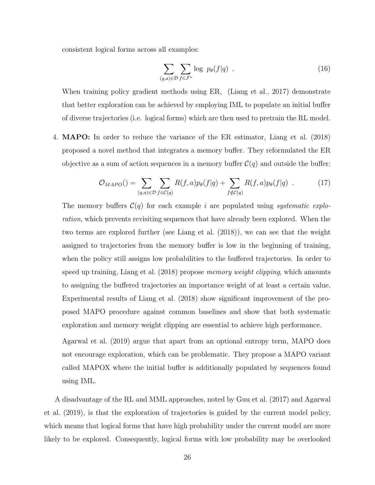consistent logical forms across all examples:

$$
\sum_{(q,a)\in\mathcal{D}}\sum_{f\in\mathcal{F}^*}\log\ p_{\theta}(f|q)\quad,\tag{16}
$$

When training policy gradient methods using ER, [\(Liang et al.,](#page-41-0) [2017\)](#page-41-0) demonstrate that better exploration can be achieved by employing IML to populate an initial buffer of diverse trajectories (i.e. logical forms) which are then used to pretrain the RL model.

4. MAPO: In order to reduce the variance of the ER estimator, [Liang et al.](#page-41-7) [\(2018\)](#page-41-7) proposed a novel method that integrates a memory buffer. They reformulated the ER objective as a sum of action sequences in a memory buffer  $\mathcal{C}(q)$  and outside the buffer:

$$
\mathcal{O}_{MAPO}() = \sum_{(q,a)\in\mathcal{D}} \sum_{f\in\mathcal{C}(q)} R(f,a)p_{\theta}(f|q) + \sum_{f\notin\mathcal{C}(q)} R(f,a)p_{\theta}(f|q) . \tag{17}
$$

The memory buffers  $\mathcal{C}(q)$  for each example i are populated using systematic exploration, which prevents revisiting sequences that have already been explored. When the two terms are explored further (see [Liang et al.](#page-41-7) [\(2018\)](#page-41-7)), we can see that the weight assigned to trajectories from the memory buffer is low in the beginning of training, when the policy still assigns low probabilities to the buffered trajectories. In order to speed up training, [Liang et al.](#page-41-7) [\(2018\)](#page-41-7) propose *memory weight clipping*, which amounts to assigning the buffered trajectories an importance weight of at least a certain value. Experimental results of [Liang et al.](#page-41-7) [\(2018\)](#page-41-7) show significant improvement of the proposed MAPO procedure against common baselines and show that both systematic exploration and memory weight clipping are essential to achieve high performance.

[Agarwal et al.](#page-35-4) [\(2019\)](#page-35-4) argue that apart from an optional entropy term, MAPO does not encourage exploration, which can be problematic. They propose a MAPO variant called MAPOX where the initial buffer is additionally populated by sequences found using IML.

A disadvantage of the RL and MML approaches, noted by [Guu et al.](#page-39-7) [\(2017\)](#page-39-7) and [Agarwal](#page-35-4) [et al.](#page-35-4) [\(2019\)](#page-35-4), is that the exploration of trajectories is guided by the current model policy, which means that logical forms that have high probability under the current model are more likely to be explored. Consequently, logical forms with low probability may be overlooked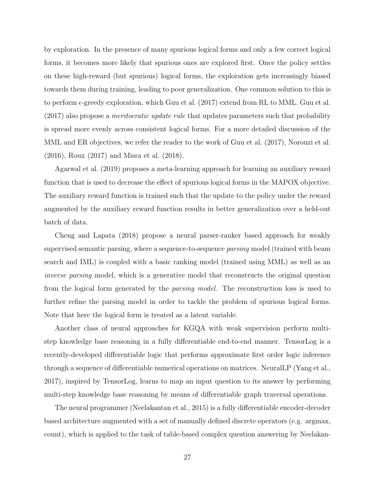by exploration. In the presence of many spurious logical forms and only a few correct logical forms, it becomes more likely that spurious ones are explored first. Once the policy settles on these high-reward (but spurious) logical forms, the exploration gets increasingly biased towards them during training, leading to poor generalization. One common solution to this is to perform  $\epsilon$ -greedy exploration, which [Guu et al.](#page-39-7) [\(2017\)](#page-39-7) extend from RL to MML. Guu et al. [\(2017\)](#page-39-7) also propose a meritocratic update rule that updates parameters such that probability is spread more evenly across consistent logical forms. For a more detailed discussion of the MML and ER objectives, we refer the reader to the work of [Guu et al.](#page-39-7) [\(2017\)](#page-39-7), [Norouzi et al.](#page-42-6) [\(2016\)](#page-42-6), [Roux](#page-44-3) [\(2017\)](#page-44-3) and [Misra et al.](#page-42-7) [\(2018\)](#page-42-7).

[Agarwal et al.](#page-35-4) [\(2019\)](#page-35-4) proposes a meta-learning approach for learning an auxiliary reward function that is used to decrease the effect of spurious logical forms in the MAPOX objective. The auxiliary reward function is trained such that the update to the policy under the reward augmented by the auxiliary reward function results in better generalization over a held-out batch of data.

[Cheng and Lapata](#page-36-7) [\(2018\)](#page-36-7) propose a neural parser-ranker based approach for weakly supervised semantic parsing, where a sequence-to-sequence parsing model (trained with beam search and IML) is coupled with a basic ranking model (trained using MML) as well as an inverse parsing model, which is a generative model that reconstructs the original question from the logical form generated by the parsing model. The reconstruction loss is used to further refine the parsing model in order to tackle the problem of spurious logical forms. Note that here the logical form is treated as a latent variable.

Another class of neural approaches for KGQA with weak supervision perform multistep knowledge base reasoning in a fully differentiable end-to-end manner. TensorLog is a recently-developed differentiable logic that performs approximate first order logic inference through a sequence of differentiable numerical operations on matrices. NeuralLP [\(Yang et al.,](#page-45-1) [2017\)](#page-45-1), inspired by TensorLog, learns to map an input question to its answer by performing multi-step knowledge base reasoning by means of differentiable graph traversal operations.

The neural programmer [\(Neelakantan et al.,](#page-42-8) [2015\)](#page-42-8) is a fully differentiable encoder-decoder based architecture augmented with a set of manually defined discrete operators (e.g. argmax, count), which is applied to the task of table-based complex question answering by [Neelakan-](#page-42-0)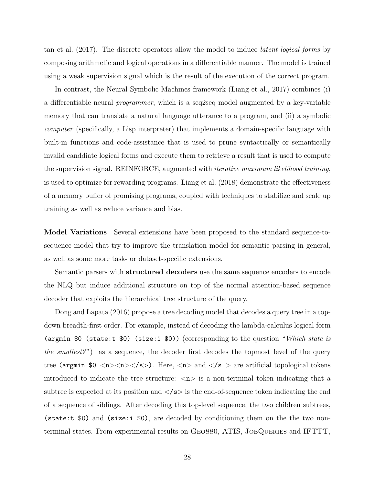[tan et al.](#page-42-0) [\(2017\)](#page-42-0). The discrete operators allow the model to induce latent logical forms by composing arithmetic and logical operations in a differentiable manner. The model is trained using a weak supervision signal which is the result of the execution of the correct program.

In contrast, the Neural Symbolic Machines framework [\(Liang et al.,](#page-41-0) [2017\)](#page-41-0) combines (i) a differentiable neural programmer, which is a seq2seq model augmented by a key-variable memory that can translate a natural language utterance to a program, and (ii) a symbolic computer (specifically, a Lisp interpreter) that implements a domain-specific language with built-in functions and code-assistance that is used to prune syntactically or semantically invalid canddiate logical forms and execute them to retrieve a result that is used to compute the supervision signal. REINFORCE, augmented with iterative maximum likelihood training, is used to optimize for rewarding programs. [Liang et al.](#page-41-7) [\(2018\)](#page-41-7) demonstrate the effectiveness of a memory buffer of promising programs, coupled with techniques to stabilize and scale up training as well as reduce variance and bias.

<span id="page-27-0"></span>Model Variations Several extensions have been proposed to the standard sequence-tosequence model that try to improve the translation model for semantic parsing in general, as well as some more task- or dataset-specific extensions.

Semantic parsers with structured decoders use the same sequence encoders to encode the NLQ but induce additional structure on top of the normal attention-based sequence decoder that exploits the hierarchical tree structure of the query.

[Dong and Lapata](#page-37-4) [\(2016\)](#page-37-4) propose a tree decoding model that decodes a query tree in a topdown breadth-first order. For example, instead of decoding the lambda-calculus logical form (argmin \$0 (state:t \$0) (size:i \$0)) (corresponding to the question "Which state is the smallest?") as a sequence, the decoder first decodes the topmost level of the query tree (argmin \$0 <n> >  $\langle n \rangle$  /s>). Here,  $\langle n \rangle$  and  $\langle n \rangle$  are artificial topological tokens introduced to indicate the tree structure:  $\langle n \rangle$  is a non-terminal token indicating that a subtree is expected at its position and  $\langle s \rangle$  is the end-of-sequence token indicating the end of a sequence of siblings. After decoding this top-level sequence, the two children subtrees, (state:t \$0) and (size:i \$0), are decoded by conditioning them on the the two nonterminal states. From experimental results on GEO880, ATIS, JOBQUERIES and IFTTT,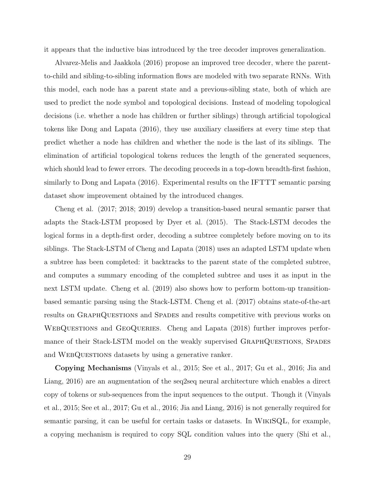it appears that the inductive bias introduced by the tree decoder improves generalization.

[Alvarez-Melis and Jaakkola](#page-35-5) [\(2016\)](#page-35-5) propose an improved tree decoder, where the parentto-child and sibling-to-sibling information flows are modeled with two separate RNNs. With this model, each node has a parent state and a previous-sibling state, both of which are used to predict the node symbol and topological decisions. Instead of modeling topological decisions (i.e. whether a node has children or further siblings) through artificial topological tokens like [Dong and Lapata](#page-37-4) [\(2016\)](#page-37-4), they use auxiliary classifiers at every time step that predict whether a node has children and whether the node is the last of its siblings. The elimination of artificial topological tokens reduces the length of the generated sequences, which should lead to fewer errors. The decoding proceeds in a top-down breadth-first fashion, similarly to [Dong and Lapata](#page-37-4) [\(2016\)](#page-37-4). Experimental results on the IFTTT semantic parsing dataset show improvement obtained by the introduced changes.

[Cheng et al.](#page-36-4) [\(2017;](#page-36-4) [2018;](#page-36-7) [2019\)](#page-36-2) develop a transition-based neural semantic parser that adapts the Stack-LSTM proposed by [Dyer et al.](#page-38-5) [\(2015\)](#page-38-5). The Stack-LSTM decodes the logical forms in a depth-first order, decoding a subtree completely before moving on to its siblings. The Stack-LSTM of [Cheng and Lapata](#page-36-7) [\(2018\)](#page-36-7) uses an adapted LSTM update when a subtree has been completed: it backtracks to the parent state of the completed subtree, and computes a summary encoding of the completed subtree and uses it as input in the next LSTM update. [Cheng et al.](#page-36-2) [\(2019\)](#page-36-2) also shows how to perform bottom-up transitionbased semantic parsing using the Stack-LSTM. [Cheng et al.](#page-36-4) [\(2017\)](#page-36-4) obtains state-of-the-art results on GraphQuestions and Spades and results competitive with previous works on WEBQUESTIONS and GEOQUERIES. [Cheng and Lapata](#page-36-7) [\(2018\)](#page-36-7) further improves performance of their Stack-LSTM model on the weakly supervised GRAPHQUESTIONS, SPADES and WEBQUESTIONS datasets by using a generative ranker.

Copying Mechanisms [\(Vinyals et al.,](#page-45-7) [2015;](#page-45-7) [See et al.,](#page-44-4) [2017;](#page-44-4) [Gu et al.,](#page-38-6) [2016;](#page-38-6) [Jia and](#page-39-4) [Liang,](#page-39-4) [2016\)](#page-39-4) are an augmentation of the seq2seq neural architecture which enables a direct copy of tokens or sub-sequences from the input sequences to the output. Though it [\(Vinyals](#page-45-7) [et al.,](#page-45-7) [2015;](#page-45-7) [See et al.,](#page-44-4) [2017;](#page-44-4) [Gu et al.,](#page-38-6) [2016;](#page-38-6) [Jia and Liang,](#page-39-4) [2016\)](#page-39-4) is not generally required for semantic parsing, it can be useful for certain tasks or datasets. In WikiSQL, for example, a copying mechanism is required to copy SQL condition values into the query [\(Shi et al.,](#page-44-5)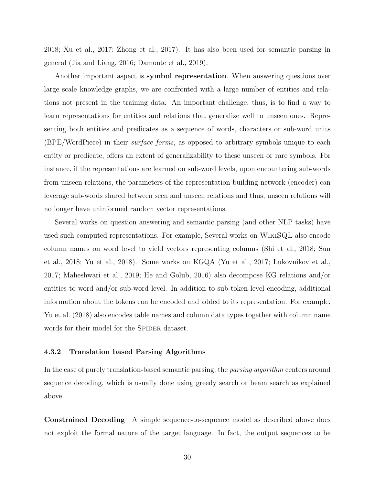[2018;](#page-44-5) [Xu et al.,](#page-45-6) [2017;](#page-45-6) [Zhong et al.,](#page-47-1) [2017\)](#page-47-1). It has also been used for semantic parsing in general [\(Jia and Liang,](#page-39-4) [2016;](#page-39-4) [Damonte et al.,](#page-37-5) [2019\)](#page-37-5).

Another important aspect is **symbol representation**. When answering questions over large scale knowledge graphs, we are confronted with a large number of entities and relations not present in the training data. An important challenge, thus, is to find a way to learn representations for entities and relations that generalize well to unseen ones. Representing both entities and predicates as a sequence of words, characters or sub-word units (BPE/WordPiece) in their surface forms, as opposed to arbitrary symbols unique to each entity or predicate, offers an extent of generalizability to these unseen or rare symbols. For instance, if the representations are learned on sub-word levels, upon encountering sub-words from unseen relations, the parameters of the representation building network (encoder) can leverage sub-words shared between seen and unseen relations and thus, unseen relations will no longer have uninformed random vector representations.

Several works on question answering and semantic parsing (and other NLP tasks) have used such computed representations. For example, Several works on WikiSQL also encode column names on word level to yield vectors representing columns [\(Shi et al.,](#page-44-5) [2018;](#page-44-5) [Sun](#page-44-2) [et al.,](#page-44-2) [2018;](#page-44-2) [Yu et al.,](#page-46-6) [2018\)](#page-46-6). Some works on KGQA [\(Yu et al.,](#page-46-3) [2017;](#page-46-3) [Lukovnikov et al.,](#page-41-2) [2017;](#page-41-2) [Maheshwari et al.,](#page-41-4) [2019;](#page-41-4) [He and Golub,](#page-39-5) [2016\)](#page-39-5) also decompose KG relations and/or entities to word and/or sub-word level. In addition to sub-token level encoding, additional information about the tokens can be encoded and added to its representation. For example, [Yu et al.](#page-46-6) [\(2018\)](#page-46-6) also encodes table names and column data types together with column name words for their model for the SPIDER dataset.

#### 4.3.2 Translation based Parsing Algorithms

In the case of purely translation-based semantic parsing, the *parsing algorithm* centers around sequence decoding, which is usually done using greedy search or beam search as explained above.

Constrained Decoding A simple sequence-to-sequence model as described above does not exploit the formal nature of the target language. In fact, the output sequences to be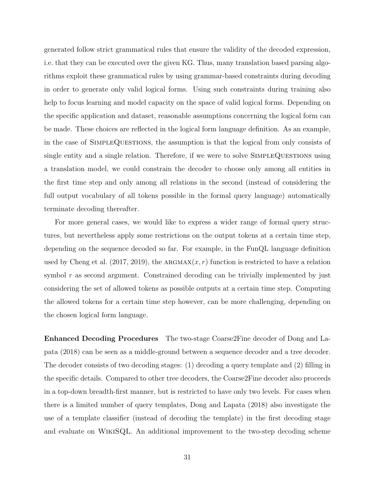generated follow strict grammatical rules that ensure the validity of the decoded expression, i.e. that they can be executed over the given KG. Thus, many translation based parsing algorithms exploit these grammatical rules by using grammar-based constraints during decoding in order to generate only valid logical forms. Using such constraints during training also help to focus learning and model capacity on the space of valid logical forms. Depending on the specific application and dataset, reasonable assumptions concerning the logical form can be made. These choices are reflected in the logical form language definition. As an example, in the case of SimpleQuestions, the assumption is that the logical from only consists of single entity and a single relation. Therefore, if we were to solve SIMPLEQUESTIONS using a translation model, we could constrain the decoder to choose only among all entities in the first time step and only among all relations in the second (instead of considering the full output vocabulary of all tokens possible in the formal query language) automatically terminate decoding thereafter.

For more general cases, we would like to express a wider range of formal query structures, but nevertheless apply some restrictions on the output tokens at a certain time step, depending on the sequence decoded so far. For example, in the FunQL language definition used by [Cheng et al.](#page-36-4) [\(2017,](#page-36-4) [2019\)](#page-36-2), the ARGMAX $(x, r)$  function is restricted to have a relation symbol  $r$  as second argument. Constrained decoding can be trivially implemented by just considering the set of allowed tokens as possible outputs at a certain time step. Computing the allowed tokens for a certain time step however, can be more challenging, depending on the chosen logical form language.

Enhanced Decoding Procedures The two-stage Coarse2Fine decoder of [Dong and La](#page-38-7)[pata](#page-38-7) [\(2018\)](#page-38-7) can be seen as a middle-ground between a sequence decoder and a tree decoder. The decoder consists of two decoding stages: (1) decoding a query template and (2) filling in the specific details. Compared to other tree decoders, the Coarse2Fine decoder also proceeds in a top-down breadth-first manner, but is restricted to have only two levels. For cases when there is a limited number of query templates, [Dong and Lapata](#page-38-7) [\(2018\)](#page-38-7) also investigate the use of a template classifier (instead of decoding the template) in the first decoding stage and evaluate on WikiSQL. An additional improvement to the two-step decoding scheme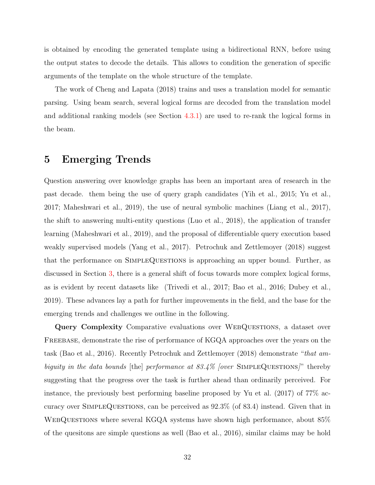is obtained by encoding the generated template using a bidirectional RNN, before using the output states to decode the details. This allows to condition the generation of specific arguments of the template on the whole structure of the template.

The work of [Cheng and Lapata](#page-36-7) [\(2018\)](#page-36-7) trains and uses a translation model for semantic parsing. Using beam search, several logical forms are decoded from the translation model and additional ranking models (see Section [4.3.1\)](#page-23-0) are used to re-rank the logical forms in the beam.

# <span id="page-31-0"></span>5 Emerging Trends

Question answering over knowledge graphs has been an important area of research in the past decade. them being the use of query graph candidates [\(Yih et al.,](#page-46-2) [2015;](#page-46-2) [Yu et al.,](#page-46-3) [2017;](#page-46-3) [Maheshwari et al.,](#page-41-4) [2019\)](#page-41-4), the use of neural symbolic machines [\(Liang et al.,](#page-41-0) [2017\)](#page-41-0), the shift to answering multi-entity questions [\(Luo et al.,](#page-41-3) [2018\)](#page-41-3), the application of transfer learning [\(Maheshwari et al.,](#page-41-4) [2019\)](#page-41-4), and the proposal of differentiable query execution based weakly supervised models [\(Yang et al.,](#page-45-1) [2017\)](#page-45-1). [Petrochuk and Zettlemoyer](#page-43-1) [\(2018\)](#page-43-1) suggest that the performance on SIMPLEQUESTIONS is approaching an upper bound. Further, as discussed in Section [3,](#page-8-0) there is a general shift of focus towards more complex logical forms, as is evident by recent datasets like [\(Trivedi et al.,](#page-45-2) [2017;](#page-45-2) [Bao et al.,](#page-35-2) [2016;](#page-35-2) [Dubey et al.,](#page-38-2) [2019\)](#page-38-2). These advances lay a path for further improvements in the field, and the base for the emerging trends and challenges we outline in the following.

Query Complexity Comparative evaluations over WEBQUESTIONS, a dataset over Freebase, demonstrate the rise of performance of KGQA approaches over the years on the task [\(Bao et al.,](#page-35-2) [2016\)](#page-35-2). Recently [Petrochuk and Zettlemoyer](#page-43-1) [\(2018\)](#page-43-1) demonstrate "that ambiguity in the data bounds [the] performance at  $83.4\%$  [over SIMPLEQUESTIONS]" thereby suggesting that the progress over the task is further ahead than ordinarily perceived. For instance, the previously best performing baseline proposed by [Yu et al.](#page-46-3) [\(2017\)](#page-46-3) of 77% accuracy over SimpleQuestions, can be perceived as 92.3% (of 83.4) instead. Given that in WebQuestions where several KGQA systems have shown high performance, about 85% of the quesitons are simple questions as well [\(Bao et al.,](#page-35-2) [2016\)](#page-35-2), similar claims may be hold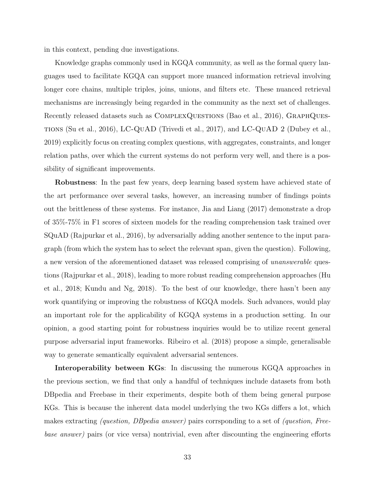in this context, pending due investigations.

Knowledge graphs commonly used in KGQA community, as well as the formal query languages used to facilitate KGQA can support more nuanced information retrieval involving longer core chains, multiple triples, joins, unions, and filters etc. These nuanced retrieval mechanisms are increasingly being regarded in the community as the next set of challenges. Recently released datasets such as COMPLEXQUESTIONS [\(Bao et al.,](#page-35-2) [2016\)](#page-35-2), GRAPHQUEStions [\(Su et al.,](#page-44-0) [2016\)](#page-44-0), LC-QuAD [\(Trivedi et al.,](#page-45-2) [2017\)](#page-45-2), and LC-QuAD 2 [\(Dubey et al.,](#page-38-2) [2019\)](#page-38-2) explicitly focus on creating complex questions, with aggregates, constraints, and longer relation paths, over which the current systems do not perform very well, and there is a possibility of significant improvements.

Robustness: In the past few years, deep learning based system have achieved state of the art performance over several tasks, however, an increasing number of findings points out the brittleness of these systems. For instance, [Jia and Liang](#page-40-5) [\(2017\)](#page-40-5) demonstrate a drop of 35%-75% in F1 scores of sixteen models for the reading comprehension task trained over SQuAD [\(Rajpurkar et al.,](#page-43-3) [2016\)](#page-43-3), by adversarially adding another sentence to the input paragraph (from which the system has to select the relevant span, given the question). Following, a new version of the aforementioned dataset was released comprising of unanswerable questions [\(Rajpurkar et al.,](#page-43-4) [2018\)](#page-43-4), leading to more robust reading comprehension approaches [\(Hu](#page-39-8) [et al.,](#page-39-8) [2018;](#page-39-8) [Kundu and Ng,](#page-40-6) [2018\)](#page-40-6). To the best of our knowledge, there hasn't been any work quantifying or improving the robustness of KGQA models. Such advances, would play an important role for the applicability of KGQA systems in a production setting. In our opinion, a good starting point for robustness inquiries would be to utilize recent general purpose adversarial input frameworks. [Ribeiro et al.](#page-43-5) [\(2018\)](#page-43-5) propose a simple, generalisable way to generate semantically equivalent adversarial sentences.

Interoperability between KGs: In discussing the numerous KGQA approaches in the previous section, we find that only a handful of techniques include datasets from both DBpedia and Freebase in their experiments, despite both of them being general purpose KGs. This is because the inherent data model underlying the two KGs differs a lot, which makes extracting (question, DBpedia answer) pairs corrsponding to a set of (question, Freebase answer) pairs (or vice versa) nontrivial, even after discounting the engineering efforts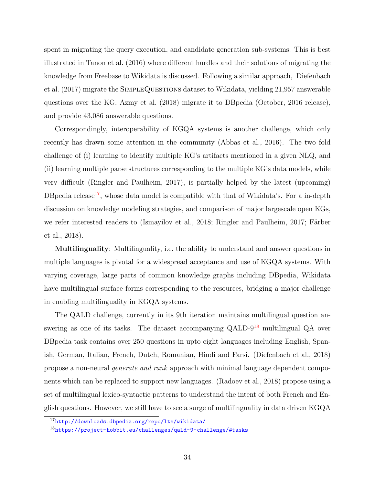spent in migrating the query execution, and candidate generation sub-systems. This is best illustrated in [Tanon et al.](#page-44-6) [\(2016\)](#page-44-6) where different hurdles and their solutions of migrating the knowledge from Freebase to Wikidata is discussed. Following a similar approach, [Diefenbach](#page-37-6) [et al.](#page-37-6) [\(2017\)](#page-37-6) migrate the SIMPLEQUESTIONS dataset to Wikidata, yielding 21,957 answerable questions over the KG. [Azmy et al.](#page-35-6) [\(2018\)](#page-35-6) migrate it to DBpedia (October, 2016 release), and provide 43,086 answerable questions.

Correspondingly, interoperability of KGQA systems is another challenge, which only recently has drawn some attention in the community [\(Abbas et al.,](#page-35-7) [2016\)](#page-35-7). The two fold challenge of (i) learning to identify multiple KG's artifacts mentioned in a given NLQ, and (ii) learning multiple parse structures corresponding to the multiple KG's data models, while very difficult [\(Ringler and Paulheim,](#page-44-7) [2017\)](#page-44-7), is partially helped by the latest (upcoming) DB pedia release<sup>[17](#page-33-0)</sup>, whose data model is compatible with that of Wikidata's. For a in-depth discussion on knowledge modeling strategies, and comparison of major largescale open KGs, we refer interested readers to [\(Ismayilov et al.,](#page-39-9) [2018;](#page-39-9) [Ringler and Paulheim,](#page-44-7) [2017;](#page-44-7) Färber [et al.,](#page-38-8) [2018\)](#page-38-8).

Multilinguality: Multilinguality, i.e. the ability to understand and answer questions in multiple languages is pivotal for a widespread acceptance and use of KGQA systems. With varying coverage, large parts of common knowledge graphs including DBpedia, Wikidata have multilingual surface forms corresponding to the resources, bridging a major challenge in enabling multilinguality in KGQA systems.

The QALD challenge, currently in its 9th iteration maintains multilingual question answering as one of its tasks. The dataset accompanying  $QALD-9<sup>18</sup>$  $QALD-9<sup>18</sup>$  $QALD-9<sup>18</sup>$  multilingual  $QA$  over DBpedia task contains over 250 questions in upto eight languages including English, Spanish, German, Italian, French, Dutch, Romanian, Hindi and Farsi. [\(Diefenbach et al.,](#page-37-7) [2018\)](#page-37-7) propose a non-neural generate and rank approach with minimal language dependent components which can be replaced to support new languages. [\(Radoev et al.,](#page-43-6) [2018\)](#page-43-6) propose using a set of multilingual lexico-syntactic patterns to understand the intent of both French and English questions. However, we still have to see a surge of multilinguality in data driven KGQA

<span id="page-33-1"></span><span id="page-33-0"></span><sup>17</sup><http://downloads.dbpedia.org/repo/lts/wikidata/>

<sup>18</sup><https://project-hobbit.eu/challenges/qald-9-challenge/#tasks>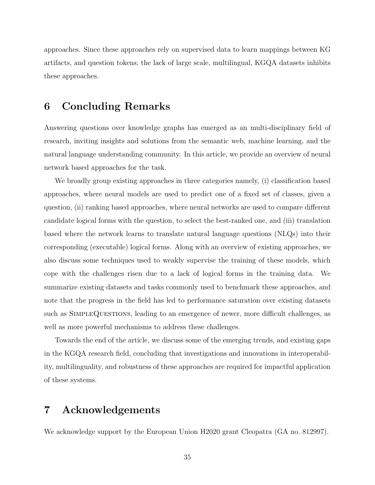approaches. Since these approaches rely on supervised data to learn mappings between KG artifacts, and question tokens; the lack of large scale, multilingual, KGQA datasets inhibits these approaches.

# 6 Concluding Remarks

Answering questions over knowledge graphs has emerged as an multi-disciplinary field of research, inviting insights and solutions from the semantic web, machine learning, and the natural language understanding community. In this article, we provide an overview of neural network based approaches for the task.

We broadly group existing approaches in three categories namely, (i) classification based approaches, where neural models are used to predict one of a fixed set of classes, given a question, (ii) ranking based approaches, where neural networks are used to compare different candidate logical forms with the question, to select the best-ranked one, and (iii) translation based where the network learns to translate natural language questions (NLQs) into their corresponding (executable) logical forms. Along with an overview of existing approaches, we also discuss some techniques used to weakly supervise the training of these models, which cope with the challenges risen due to a lack of logical forms in the training data. We summarize existing datasets and tasks commonly used to benchmark these approaches, and note that the progress in the field has led to performance saturation over existing datasets such as SimpleQuestions, leading to an emergence of newer, more difficult challenges, as well as more powerful mechanisms to address these challenges.

Towards the end of the article, we discuss some of the emerging trends, and existing gaps in the KGQA research field, concluding that investigations and innovations in interoperability, multilinguality, and robustness of these approaches are required for impactful application of these systems.

# 7 Acknowledgements

We acknowledge support by the European Union H2020 grant Cleopatra (GA no. 812997).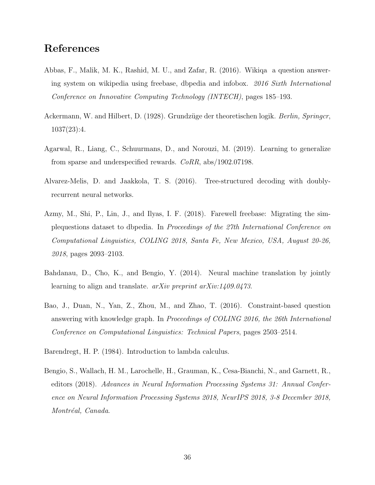# References

- <span id="page-35-7"></span>Abbas, F., Malik, M. K., Rashid, M. U., and Zafar, R. (2016). Wikiqa a question answering system on wikipedia using freebase, dbpedia and infobox. 2016 Sixth International Conference on Innovative Computing Technology (INTECH), pages 185–193.
- <span id="page-35-1"></span>Ackermann, W. and Hilbert, D. (1928). Grundzüge der theoretischen logik. *Berlin, Springcr*, 1037(23):4.
- <span id="page-35-4"></span>Agarwal, R., Liang, C., Schuurmans, D., and Norouzi, M. (2019). Learning to generalize from sparse and underspecified rewards. CoRR, abs/1902.07198.
- <span id="page-35-5"></span>Alvarez-Melis, D. and Jaakkola, T. S. (2016). Tree-structured decoding with doublyrecurrent neural networks.
- <span id="page-35-6"></span>Azmy, M., Shi, P., Lin, J., and Ilyas, I. F. (2018). Farewell freebase: Migrating the simplequestions dataset to dbpedia. In Proceedings of the 27th International Conference on Computational Linguistics, COLING 2018, Santa Fe, New Mexico, USA, August 20-26, 2018, pages 2093–2103.
- <span id="page-35-3"></span>Bahdanau, D., Cho, K., and Bengio, Y. (2014). Neural machine translation by jointly learning to align and translate. *arXiv preprint arXiv:1409.0473*.
- <span id="page-35-2"></span>Bao, J., Duan, N., Yan, Z., Zhou, M., and Zhao, T. (2016). Constraint-based question answering with knowledge graph. In Proceedings of COLING 2016, the 26th International Conference on Computational Linguistics: Technical Papers, pages 2503–2514.
- <span id="page-35-0"></span>Barendregt, H. P. (1984). Introduction to lambda calculus.
- <span id="page-35-8"></span>Bengio, S., Wallach, H. M., Larochelle, H., Grauman, K., Cesa-Bianchi, N., and Garnett, R., editors (2018). Advances in Neural Information Processing Systems 31: Annual Conference on Neural Information Processing Systems 2018, NeurIPS 2018, 3-8 December 2018, Montréal, Canada.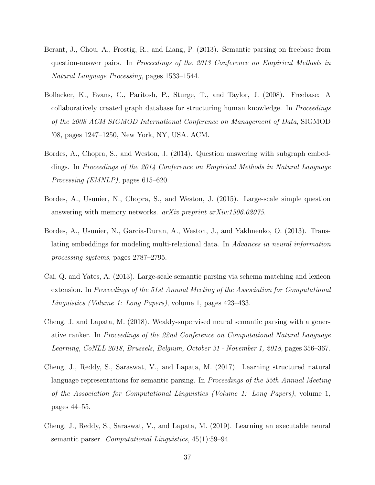- <span id="page-36-0"></span>Berant, J., Chou, A., Frostig, R., and Liang, P. (2013). Semantic parsing on freebase from question-answer pairs. In Proceedings of the 2013 Conference on Empirical Methods in Natural Language Processing, pages 1533–1544.
- <span id="page-36-3"></span>Bollacker, K., Evans, C., Paritosh, P., Sturge, T., and Taylor, J. (2008). Freebase: A collaboratively created graph database for structuring human knowledge. In *Proceedings* of the 2008 ACM SIGMOD International Conference on Management of Data, SIGMOD '08, pages 1247–1250, New York, NY, USA. ACM.
- <span id="page-36-1"></span>Bordes, A., Chopra, S., and Weston, J. (2014). Question answering with subgraph embeddings. In Proceedings of the 2014 Conference on Empirical Methods in Natural Language Processing (EMNLP), pages 615–620.
- <span id="page-36-6"></span>Bordes, A., Usunier, N., Chopra, S., and Weston, J. (2015). Large-scale simple question answering with memory networks. arXiv preprint arXiv:1506.02075.
- <span id="page-36-8"></span>Bordes, A., Usunier, N., Garcia-Duran, A., Weston, J., and Yakhnenko, O. (2013). Translating embeddings for modeling multi-relational data. In Advances in neural information processing systems, pages 2787–2795.
- <span id="page-36-5"></span>Cai, Q. and Yates, A. (2013). Large-scale semantic parsing via schema matching and lexicon extension. In Proceedings of the 51st Annual Meeting of the Association for Computational Linguistics (Volume 1: Long Papers), volume 1, pages 423–433.
- <span id="page-36-7"></span>Cheng, J. and Lapata, M. (2018). Weakly-supervised neural semantic parsing with a generative ranker. In Proceedings of the 22nd Conference on Computational Natural Language Learning, CoNLL 2018, Brussels, Belgium, October 31 - November 1, 2018, pages 356–367.
- <span id="page-36-4"></span>Cheng, J., Reddy, S., Saraswat, V., and Lapata, M. (2017). Learning structured natural language representations for semantic parsing. In Proceedings of the 55th Annual Meeting of the Association for Computational Linguistics (Volume 1: Long Papers), volume 1, pages 44–55.
- <span id="page-36-2"></span>Cheng, J., Reddy, S., Saraswat, V., and Lapata, M. (2019). Learning an executable neural semantic parser. Computational Linguistics, 45(1):59–94.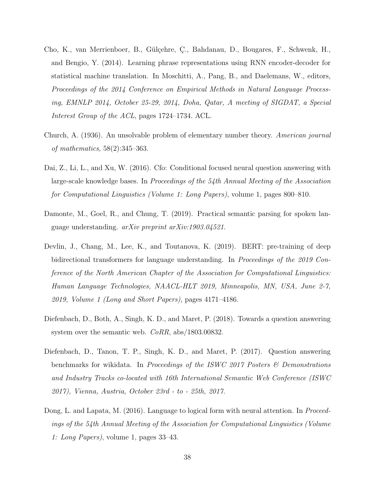- <span id="page-37-1"></span>Cho, K., van Merrienboer, B., Gülçehre, Ç., Bahdanau, D., Bougares, F., Schwenk, H., and Bengio, Y. (2014). Learning phrase representations using RNN encoder-decoder for statistical machine translation. In Moschitti, A., Pang, B., and Daelemans, W., editors, Proceedings of the 2014 Conference on Empirical Methods in Natural Language Processing, EMNLP 2014, October 25-29, 2014, Doha, Qatar, A meeting of SIGDAT, a Special Interest Group of the ACL, pages 1724–1734. ACL.
- <span id="page-37-0"></span>Church, A. (1936). An unsolvable problem of elementary number theory. American journal of mathematics, 58(2):345–363.
- <span id="page-37-2"></span>Dai, Z., Li, L., and Xu, W. (2016). Cfo: Conditional focused neural question answering with large-scale knowledge bases. In Proceedings of the 54th Annual Meeting of the Association for Computational Linguistics (Volume 1: Long Papers), volume 1, pages 800–810.
- <span id="page-37-5"></span>Damonte, M., Goel, R., and Chung, T. (2019). Practical semantic parsing for spoken language understanding. arXiv preprint arXiv:1903.04521.
- <span id="page-37-3"></span>Devlin, J., Chang, M., Lee, K., and Toutanova, K. (2019). BERT: pre-training of deep bidirectional transformers for language understanding. In Proceedings of the 2019 Conference of the North American Chapter of the Association for Computational Linguistics: Human Language Technologies, NAACL-HLT 2019, Minneapolis, MN, USA, June 2-7, 2019, Volume 1 (Long and Short Papers), pages 4171–4186.
- <span id="page-37-7"></span>Diefenbach, D., Both, A., Singh, K. D., and Maret, P. (2018). Towards a question answering system over the semantic web. *CoRR*, abs/1803.00832.
- <span id="page-37-6"></span>Diefenbach, D., Tanon, T. P., Singh, K. D., and Maret, P. (2017). Question answering benchmarks for wikidata. In Proceedings of the ISWC 2017 Posters & Demonstrations and Industry Tracks co-located with 16th International Semantic Web Conference (ISWC 2017), Vienna, Austria, October 23rd - to - 25th, 2017.
- <span id="page-37-4"></span>Dong, L. and Lapata, M. (2016). Language to logical form with neural attention. In *Proceed*ings of the 54th Annual Meeting of the Association for Computational Linguistics (Volume 1: Long Papers), volume 1, pages 33–43.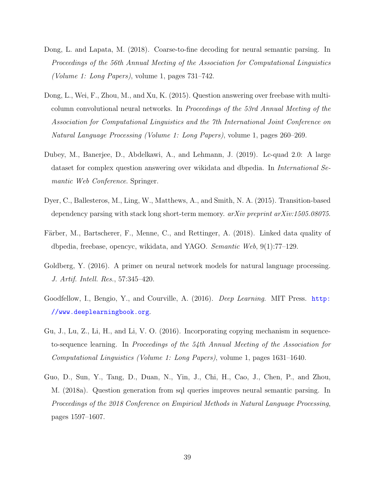- <span id="page-38-7"></span>Dong, L. and Lapata, M. (2018). Coarse-to-fine decoding for neural semantic parsing. In Proceedings of the 56th Annual Meeting of the Association for Computational Linguistics (Volume 1: Long Papers), volume 1, pages 731–742.
- <span id="page-38-3"></span>Dong, L., Wei, F., Zhou, M., and Xu, K. (2015). Question answering over freebase with multicolumn convolutional neural networks. In Proceedings of the 53rd Annual Meeting of the Association for Computational Linguistics and the 7th International Joint Conference on Natural Language Processing (Volume 1: Long Papers), volume 1, pages 260–269.
- <span id="page-38-2"></span>Dubey, M., Banerjee, D., Abdelkawi, A., and Lehmann, J. (2019). Lc-quad 2.0: A large dataset for complex question answering over wikidata and dbpedia. In International Semantic Web Conference. Springer.
- <span id="page-38-5"></span>Dyer, C., Ballesteros, M., Ling, W., Matthews, A., and Smith, N. A. (2015). Transition-based dependency parsing with stack long short-term memory. arXiv preprint arXiv:1505.08075.
- <span id="page-38-8"></span>Färber, M., Bartscherer, F., Menne, C., and Rettinger, A. (2018). Linked data quality of dbpedia, freebase, opencyc, wikidata, and YAGO. Semantic Web, 9(1):77–129.
- <span id="page-38-1"></span>Goldberg, Y. (2016). A primer on neural network models for natural language processing. J. Artif. Intell. Res., 57:345–420.
- <span id="page-38-0"></span>Goodfellow, I., Bengio, Y., and Courville, A. (2016). Deep Learning. MIT Press. [http:](http://www.deeplearningbook.org) [//www.deeplearningbook.org](http://www.deeplearningbook.org).
- <span id="page-38-6"></span>Gu, J., Lu, Z., Li, H., and Li, V. O. (2016). Incorporating copying mechanism in sequenceto-sequence learning. In Proceedings of the 54th Annual Meeting of the Association for Computational Linguistics (Volume 1: Long Papers), volume 1, pages 1631–1640.
- <span id="page-38-4"></span>Guo, D., Sun, Y., Tang, D., Duan, N., Yin, J., Chi, H., Cao, J., Chen, P., and Zhou, M. (2018a). Question generation from sql queries improves neural semantic parsing. In Proceedings of the 2018 Conference on Empirical Methods in Natural Language Processing, pages 1597–1607.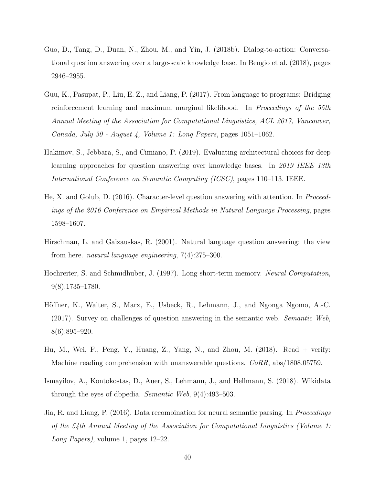- <span id="page-39-6"></span>Guo, D., Tang, D., Duan, N., Zhou, M., and Yin, J. (2018b). Dialog-to-action: Conversational question answering over a large-scale knowledge base. In [Bengio et al.](#page-35-8) [\(2018\)](#page-35-8), pages 2946–2955.
- <span id="page-39-7"></span>Guu, K., Pasupat, P., Liu, E. Z., and Liang, P. (2017). From language to programs: Bridging reinforcement learning and maximum marginal likelihood. In *Proceedings of the 55th* Annual Meeting of the Association for Computational Linguistics, ACL 2017, Vancouver, Canada, July 30 - August 4, Volume 1: Long Papers, pages 1051–1062.
- <span id="page-39-2"></span>Hakimov, S., Jebbara, S., and Cimiano, P. (2019). Evaluating architectural choices for deep learning approaches for question answering over knowledge bases. In 2019 IEEE 13th International Conference on Semantic Computing (ICSC), pages 110–113. IEEE.
- <span id="page-39-5"></span>He, X. and Golub, D. (2016). Character-level question answering with attention. In Proceedings of the 2016 Conference on Empirical Methods in Natural Language Processing, pages 1598–1607.
- <span id="page-39-0"></span>Hirschman, L. and Gaizauskas, R. (2001). Natural language question answering: the view from here. natural language engineering, 7(4):275–300.
- <span id="page-39-3"></span>Hochreiter, S. and Schmidhuber, J. (1997). Long short-term memory. Neural Computation, 9(8):1735–1780.
- <span id="page-39-1"></span>Höffner, K., Walter, S., Marx, E., Usbeck, R., Lehmann, J., and Ngonga Ngomo, A.-C. (2017). Survey on challenges of question answering in the semantic web. Semantic Web, 8(6):895–920.
- <span id="page-39-8"></span>Hu, M., Wei, F., Peng, Y., Huang, Z., Yang, N., and Zhou, M. (2018). Read + verify: Machine reading comprehension with unanswerable questions. CoRR, abs/1808.05759.
- <span id="page-39-9"></span>Ismayilov, A., Kontokostas, D., Auer, S., Lehmann, J., and Hellmann, S. (2018). Wikidata through the eyes of dbpedia. Semantic Web, 9(4):493–503.
- <span id="page-39-4"></span>Jia, R. and Liang, P. (2016). Data recombination for neural semantic parsing. In *Proceedings* of the 54th Annual Meeting of the Association for Computational Linguistics (Volume 1: Long Papers), volume 1, pages 12–22.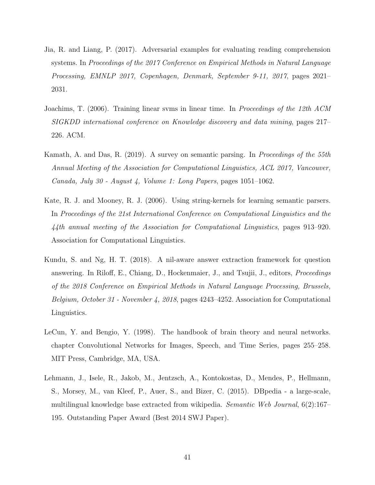- <span id="page-40-5"></span>Jia, R. and Liang, P. (2017). Adversarial examples for evaluating reading comprehension systems. In Proceedings of the 2017 Conference on Empirical Methods in Natural Language Processing, EMNLP 2017, Copenhagen, Denmark, September 9-11, 2017, pages 2021– 2031.
- <span id="page-40-4"></span>Joachims, T. (2006). Training linear svms in linear time. In Proceedings of the 12th ACM SIGKDD international conference on Knowledge discovery and data mining, pages 217– 226. ACM.
- <span id="page-40-2"></span>Kamath, A. and Das, R. (2019). A survey on semantic parsing. In Proceedings of the 55th Annual Meeting of the Association for Computational Linguistics, ACL 2017, Vancouver, Canada, July 30 - August 4, Volume 1: Long Papers, pages 1051–1062.
- <span id="page-40-0"></span>Kate, R. J. and Mooney, R. J. (2006). Using string-kernels for learning semantic parsers. In Proceedings of the 21st International Conference on Computational Linguistics and the 44th annual meeting of the Association for Computational Linguistics, pages 913–920. Association for Computational Linguistics.
- <span id="page-40-6"></span>Kundu, S. and Ng, H. T. (2018). A nil-aware answer extraction framework for question answering. In Riloff, E., Chiang, D., Hockenmaier, J., and Tsujii, J., editors, Proceedings of the 2018 Conference on Empirical Methods in Natural Language Processing, Brussels, Belgium, October 31 - November 4, 2018, pages 4243–4252. Association for Computational Linguistics.
- <span id="page-40-3"></span>LeCun, Y. and Bengio, Y. (1998). The handbook of brain theory and neural networks. chapter Convolutional Networks for Images, Speech, and Time Series, pages 255–258. MIT Press, Cambridge, MA, USA.
- <span id="page-40-1"></span>Lehmann, J., Isele, R., Jakob, M., Jentzsch, A., Kontokostas, D., Mendes, P., Hellmann, S., Morsey, M., van Kleef, P., Auer, S., and Bizer, C. (2015). DBpedia - a large-scale, multilingual knowledge base extracted from wikipedia. Semantic Web Journal, 6(2):167– 195. Outstanding Paper Award (Best 2014 SWJ Paper).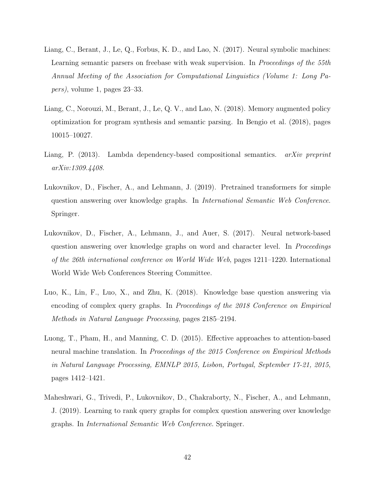- <span id="page-41-0"></span>Liang, C., Berant, J., Le, Q., Forbus, K. D., and Lao, N. (2017). Neural symbolic machines: Learning semantic parsers on freebase with weak supervision. In *Proceedings of the 55th* Annual Meeting of the Association for Computational Linguistics (Volume 1: Long Papers), volume 1, pages 23–33.
- <span id="page-41-7"></span>Liang, C., Norouzi, M., Berant, J., Le, Q. V., and Lao, N. (2018). Memory augmented policy optimization for program synthesis and semantic parsing. In [Bengio et al.](#page-35-8) [\(2018\)](#page-35-8), pages 10015–10027.
- <span id="page-41-1"></span>Liang, P. (2013). Lambda dependency-based compositional semantics. *arXiv preprint* arXiv:1309.4408.
- <span id="page-41-5"></span>Lukovnikov, D., Fischer, A., and Lehmann, J. (2019). Pretrained transformers for simple question answering over knowledge graphs. In International Semantic Web Conference. Springer.
- <span id="page-41-2"></span>Lukovnikov, D., Fischer, A., Lehmann, J., and Auer, S. (2017). Neural network-based question answering over knowledge graphs on word and character level. In *Proceedings* of the 26th international conference on World Wide Web, pages 1211–1220. International World Wide Web Conferences Steering Committee.
- <span id="page-41-3"></span>Luo, K., Lin, F., Luo, X., and Zhu, K. (2018). Knowledge base question answering via encoding of complex query graphs. In Proceedings of the 2018 Conference on Empirical Methods in Natural Language Processing, pages 2185–2194.
- <span id="page-41-6"></span>Luong, T., Pham, H., and Manning, C. D. (2015). Effective approaches to attention-based neural machine translation. In Proceedings of the 2015 Conference on Empirical Methods in Natural Language Processing, EMNLP 2015, Lisbon, Portugal, September 17-21, 2015, pages 1412–1421.
- <span id="page-41-4"></span>Maheshwari, G., Trivedi, P., Lukovnikov, D., Chakraborty, N., Fischer, A., and Lehmann, J. (2019). Learning to rank query graphs for complex question answering over knowledge graphs. In International Semantic Web Conference. Springer.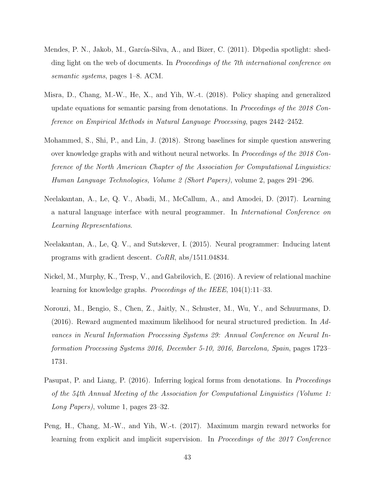- <span id="page-42-1"></span>Mendes, P. N., Jakob, M., García-Silva, A., and Bizer, C. (2011). Dbpedia spotlight: shedding light on the web of documents. In *Proceedings of the 7th international conference on* semantic systems, pages 1–8. ACM.
- <span id="page-42-7"></span>Misra, D., Chang, M.-W., He, X., and Yih, W.-t. (2018). Policy shaping and generalized update equations for semantic parsing from denotations. In Proceedings of the 2018 Conference on Empirical Methods in Natural Language Processing, pages 2442–2452.
- <span id="page-42-2"></span>Mohammed, S., Shi, P., and Lin, J. (2018). Strong baselines for simple question answering over knowledge graphs with and without neural networks. In *Proceedings of the 2018 Con*ference of the North American Chapter of the Association for Computational Linguistics: Human Language Technologies, Volume 2 (Short Papers), volume 2, pages 291–296.
- <span id="page-42-0"></span>Neelakantan, A., Le, Q. V., Abadi, M., McCallum, A., and Amodei, D. (2017). Learning a natural language interface with neural programmer. In International Conference on Learning Representations.
- <span id="page-42-8"></span>Neelakantan, A., Le, Q. V., and Sutskever, I. (2015). Neural programmer: Inducing latent programs with gradient descent. CoRR, abs/1511.04834.
- <span id="page-42-4"></span>Nickel, M., Murphy, K., Tresp, V., and Gabrilovich, E. (2016). A review of relational machine learning for knowledge graphs. *Proceedings of the IEEE*,  $104(1):11-33$ .
- <span id="page-42-6"></span>Norouzi, M., Bengio, S., Chen, Z., Jaitly, N., Schuster, M., Wu, Y., and Schuurmans, D. (2016). Reward augmented maximum likelihood for neural structured prediction. In Advances in Neural Information Processing Systems 29: Annual Conference on Neural Information Processing Systems 2016, December 5-10, 2016, Barcelona, Spain, pages 1723– 1731.
- <span id="page-42-5"></span>Pasupat, P. and Liang, P. (2016). Inferring logical forms from denotations. In *Proceedings* of the 54th Annual Meeting of the Association for Computational Linguistics (Volume 1: Long Papers), volume 1, pages 23–32.
- <span id="page-42-3"></span>Peng, H., Chang, M.-W., and Yih, W.-t. (2017). Maximum margin reward networks for learning from explicit and implicit supervision. In Proceedings of the 2017 Conference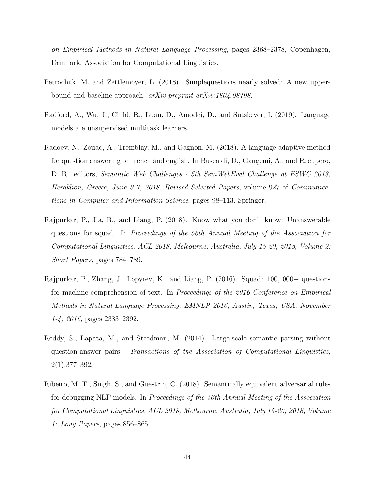on Empirical Methods in Natural Language Processing, pages 2368–2378, Copenhagen, Denmark. Association for Computational Linguistics.

- <span id="page-43-1"></span>Petrochuk, M. and Zettlemoyer, L. (2018). Simplequestions nearly solved: A new upperbound and baseline approach. arXiv preprint arXiv:1804.08798.
- <span id="page-43-2"></span>Radford, A., Wu, J., Child, R., Luan, D., Amodei, D., and Sutskever, I. (2019). Language models are unsupervised multitask learners.
- <span id="page-43-6"></span>Radoev, N., Zouaq, A., Tremblay, M., and Gagnon, M. (2018). A language adaptive method for question answering on french and english. In Buscaldi, D., Gangemi, A., and Recupero, D. R., editors, Semantic Web Challenges - 5th SemWebEval Challenge at ESWC 2018, Heraklion, Greece, June 3-7, 2018, Revised Selected Papers, volume 927 of Communications in Computer and Information Science, pages 98–113. Springer.
- <span id="page-43-4"></span>Rajpurkar, P., Jia, R., and Liang, P. (2018). Know what you don't know: Unanswerable questions for squad. In Proceedings of the 56th Annual Meeting of the Association for Computational Linguistics, ACL 2018, Melbourne, Australia, July 15-20, 2018, Volume 2: Short Papers, pages 784–789.
- <span id="page-43-3"></span>Rajpurkar, P., Zhang, J., Lopyrev, K., and Liang, P. (2016). Squad: 100, 000+ questions for machine comprehension of text. In Proceedings of the 2016 Conference on Empirical Methods in Natural Language Processing, EMNLP 2016, Austin, Texas, USA, November 1-4, 2016, pages 2383–2392.
- <span id="page-43-0"></span>Reddy, S., Lapata, M., and Steedman, M. (2014). Large-scale semantic parsing without question-answer pairs. Transactions of the Association of Computational Linguistics, 2(1):377–392.
- <span id="page-43-5"></span>Ribeiro, M. T., Singh, S., and Guestrin, C. (2018). Semantically equivalent adversarial rules for debugging NLP models. In Proceedings of the 56th Annual Meeting of the Association for Computational Linguistics, ACL 2018, Melbourne, Australia, July 15-20, 2018, Volume 1: Long Papers, pages 856–865.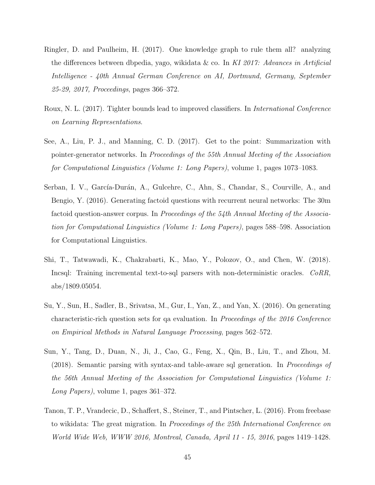- <span id="page-44-7"></span>Ringler, D. and Paulheim, H. (2017). One knowledge graph to rule them all? analyzing the differences between dbpedia, yago, wikidata & co. In KI 2017: Advances in Artificial Intelligence - 40th Annual German Conference on AI, Dortmund, Germany, September 25-29, 2017, Proceedings, pages 366–372.
- <span id="page-44-3"></span>Roux, N. L. (2017). Tighter bounds lead to improved classifiers. In International Conference on Learning Representations.
- <span id="page-44-4"></span>See, A., Liu, P. J., and Manning, C. D. (2017). Get to the point: Summarization with pointer-generator networks. In Proceedings of the 55th Annual Meeting of the Association for Computational Linguistics (Volume 1: Long Papers), volume 1, pages 1073–1083.
- <span id="page-44-1"></span>Serban, I. V., García-Durán, A., Gulcehre, C., Ahn, S., Chandar, S., Courville, A., and Bengio, Y. (2016). Generating factoid questions with recurrent neural networks: The 30m factoid question-answer corpus. In *Proceedings of the 54th Annual Meeting of the Associa*tion for Computational Linguistics (Volume 1: Long Papers), pages 588–598. Association for Computational Linguistics.
- <span id="page-44-5"></span>Shi, T., Tatwawadi, K., Chakrabarti, K., Mao, Y., Polozov, O., and Chen, W. (2018). Incsql: Training incremental text-to-sql parsers with non-deterministic oracles. CoRR, abs/1809.05054.
- <span id="page-44-0"></span>Su, Y., Sun, H., Sadler, B., Srivatsa, M., Gur, I., Yan, Z., and Yan, X. (2016). On generating characteristic-rich question sets for qa evaluation. In Proceedings of the 2016 Conference on Empirical Methods in Natural Language Processing, pages 562–572.
- <span id="page-44-2"></span>Sun, Y., Tang, D., Duan, N., Ji, J., Cao, G., Feng, X., Qin, B., Liu, T., and Zhou, M. (2018). Semantic parsing with syntax-and table-aware sql generation. In Proceedings of the 56th Annual Meeting of the Association for Computational Linguistics (Volume 1: Long Papers), volume 1, pages 361–372.
- <span id="page-44-6"></span>Tanon, T. P., Vrandecic, D., Schaffert, S., Steiner, T., and Pintscher, L. (2016). From freebase to wikidata: The great migration. In Proceedings of the 25th International Conference on World Wide Web, WWW 2016, Montreal, Canada, April 11 - 15, 2016, pages 1419–1428.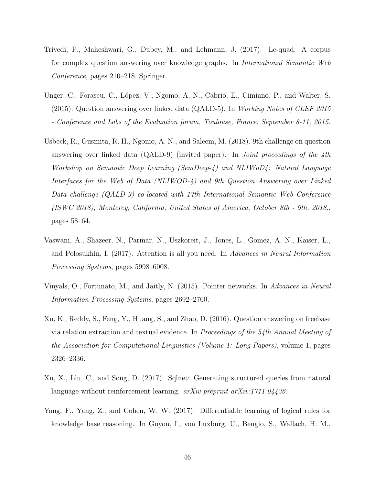- <span id="page-45-2"></span>Trivedi, P., Maheshwari, G., Dubey, M., and Lehmann, J. (2017). Lc-quad: A corpus for complex question answering over knowledge graphs. In International Semantic Web Conference, pages 210–218. Springer.
- <span id="page-45-0"></span>Unger, C., Forascu, C., López, V., Ngomo, A. N., Cabrio, E., Cimiano, P., and Walter, S. (2015). Question answering over linked data (QALD-5). In Working Notes of CLEF 2015 - Conference and Labs of the Evaluation forum, Toulouse, France, September 8-11, 2015.
- <span id="page-45-3"></span>Usbeck, R., Gusmita, R. H., Ngomo, A. N., and Saleem, M. (2018). 9th challenge on question answering over linked data (QALD-9) (invited paper). In *Joint proceedings of the 4th* Workshop on Semantic Deep Learning (SemDeep-4) and NLIWoD4: Natural Language Interfaces for the Web of Data (NLIWOD-4) and 9th Question Answering over Linked Data challenge (QALD-9) co-located with 17th International Semantic Web Conference (ISWC 2018), Monterey, California, United States of America, October 8th - 9th, 2018., pages 58–64.
- <span id="page-45-4"></span>Vaswani, A., Shazeer, N., Parmar, N., Uszkoreit, J., Jones, L., Gomez, A. N., Kaiser, L., and Polosukhin, I. (2017). Attention is all you need. In Advances in Neural Information Processing Systems, pages 5998–6008.
- <span id="page-45-7"></span>Vinyals, O., Fortunato, M., and Jaitly, N. (2015). Pointer networks. In Advances in Neural Information Processing Systems, pages 2692–2700.
- <span id="page-45-5"></span>Xu, K., Reddy, S., Feng, Y., Huang, S., and Zhao, D. (2016). Question answering on freebase via relation extraction and textual evidence. In Proceedings of the 54th Annual Meeting of the Association for Computational Linguistics (Volume 1: Long Papers), volume 1, pages 2326–2336.
- <span id="page-45-6"></span>Xu, X., Liu, C., and Song, D. (2017). Sqlnet: Generating structured queries from natural language without reinforcement learning.  $arXiv$  preprint  $arXiv:1711.04436$ .
- <span id="page-45-1"></span>Yang, F., Yang, Z., and Cohen, W. W. (2017). Differentiable learning of logical rules for knowledge base reasoning. In Guyon, I., von Luxburg, U., Bengio, S., Wallach, H. M.,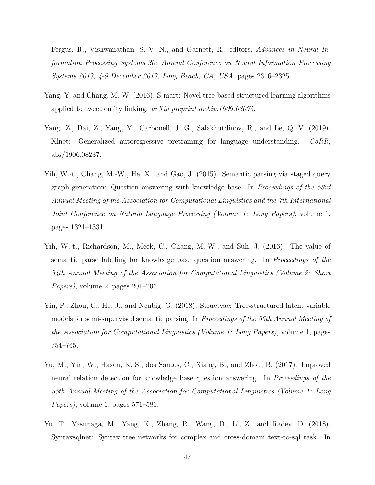Fergus, R., Vishwanathan, S. V. N., and Garnett, R., editors, Advances in Neural Information Processing Systems 30: Annual Conference on Neural Information Processing Systems 2017, 4-9 December 2017, Long Beach, CA, USA, pages 2316–2325.

- <span id="page-46-0"></span>Yang, Y. and Chang, M.-W. (2016). S-mart: Novel tree-based structured learning algorithms applied to tweet entity linking. arXiv preprint arXiv:1609.08075.
- <span id="page-46-4"></span>Yang, Z., Dai, Z., Yang, Y., Carbonell, J. G., Salakhutdinov, R., and Le, Q. V. (2019). Xlnet: Generalized autoregressive pretraining for language understanding. CoRR, abs/1906.08237.
- <span id="page-46-2"></span>Yih, W.-t., Chang, M.-W., He, X., and Gao, J. (2015). Semantic parsing via staged query graph generation: Question answering with knowledge base. In Proceedings of the 53rd Annual Meeting of the Association for Computational Linguistics and the 7th International Joint Conference on Natural Language Processing (Volume 1: Long Papers), volume 1, pages 1321–1331.
- <span id="page-46-1"></span>Yih, W.-t., Richardson, M., Meek, C., Chang, M.-W., and Suh, J. (2016). The value of semantic parse labeling for knowledge base question answering. In Proceedings of the 54th Annual Meeting of the Association for Computational Linguistics (Volume 2: Short Papers), volume 2, pages 201–206.
- <span id="page-46-5"></span>Yin, P., Zhou, C., He, J., and Neubig, G. (2018). Structvae: Tree-structured latent variable models for semi-supervised semantic parsing. In Proceedings of the 56th Annual Meeting of the Association for Computational Linguistics (Volume 1: Long Papers), volume 1, pages 754–765.
- <span id="page-46-3"></span>Yu, M., Yin, W., Hasan, K. S., dos Santos, C., Xiang, B., and Zhou, B. (2017). Improved neural relation detection for knowledge base question answering. In *Proceedings of the* 55th Annual Meeting of the Association for Computational Linguistics (Volume 1: Long Papers), volume 1, pages 571–581.
- <span id="page-46-6"></span>Yu, T., Yasunaga, M., Yang, K., Zhang, R., Wang, D., Li, Z., and Radev, D. (2018). Syntaxsqlnet: Syntax tree networks for complex and cross-domain text-to-sql task. In